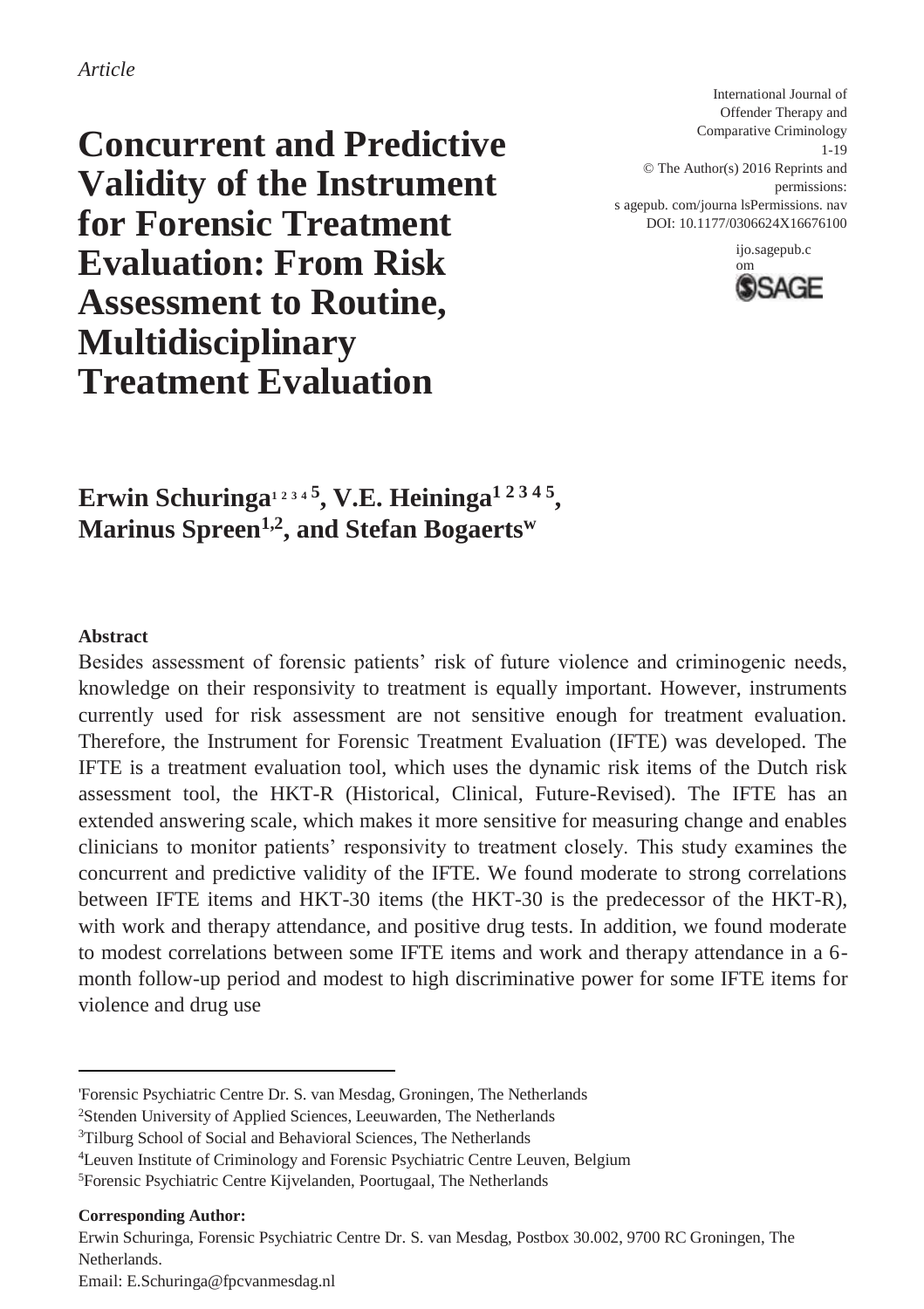**Concurrent and Predictive Validity of the Instrument for Forensic Treatment Evaluation: From Risk Assessment to Routine, Multidisciplinary Treatment Evaluation**

International Journal of Offender Therapy and Comparative Criminology 1-19 © The Author(s) 2016 Reprints and permissions: s agepub. com/journa lsPermissions. nav DOI: 10.1177/0306624X16676100



**Erwin Schuringa<sup>1</sup> <sup>2</sup> <sup>3</sup> <sup>4</sup> <sup>5</sup> , V.E. Heininga<sup>1</sup> <sup>2</sup> <sup>3</sup> <sup>4</sup> <sup>5</sup> , Marinus Spreen1,2, and Stefan Bogaerts<sup>w</sup>**

#### **Abstract**

Besides assessment of forensic patients' risk of future violence and criminogenic needs, knowledge on their responsivity to treatment is equally important. However, instruments currently used for risk assessment are not sensitive enough for treatment evaluation. Therefore, the Instrument for Forensic Treatment Evaluation (IFTE) was developed. The IFTE is a treatment evaluation tool, which uses the dynamic risk items of the Dutch risk assessment tool, the HKT-R (Historical, Clinical, Future-Revised). The IFTE has an extended answering scale, which makes it more sensitive for measuring change and enables clinicians to monitor patients' responsivity to treatment closely. This study examines the concurrent and predictive validity of the IFTE. We found moderate to strong correlations between IFTE items and HKT-30 items (the HKT-30 is the predecessor of the HKT-R), with work and therapy attendance, and positive drug tests. In addition, we found moderate to modest correlations between some IFTE items and work and therapy attendance in a 6 month follow-up period and modest to high discriminative power for some IFTE items for violence and drug use

**Corresponding Author:**

 $\overline{a}$ 

Erwin Schuringa, Forensic Psychiatric Centre Dr. S. van Mesdag, Postbox 30.002, 9700 RC Groningen, The Netherlands.

Em[ail: E.Schuringa@fpcvanmesdag.nl](mailto:E.Schuringa@fpcvanmesdag.nl)

<sup>&#</sup>x27;Forensic Psychiatric Centre Dr. S. van Mesdag, Groningen, The Netherlands

<sup>2</sup>Stenden University of Applied Sciences, Leeuwarden, The Netherlands

<sup>3</sup>Tilburg School of Social and Behavioral Sciences, The Netherlands

<sup>4</sup>Leuven Institute of Criminology and Forensic Psychiatric Centre Leuven, Belgium

<sup>5</sup>Forensic Psychiatric Centre Kijvelanden, Poortugaal, The Netherlands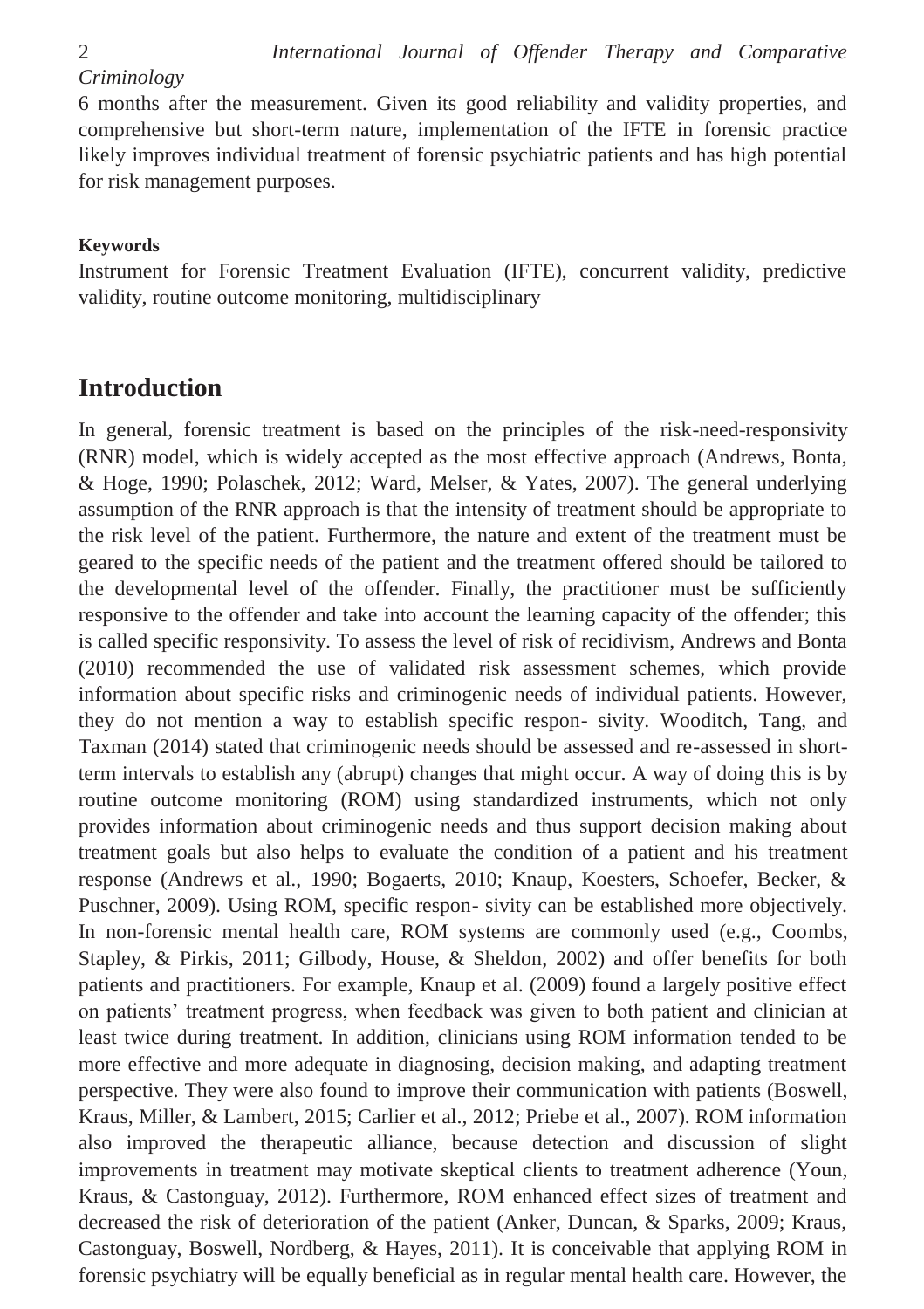## *Criminology*

6 months after the measurement. Given its good reliability and validity properties, and comprehensive but short-term nature, implementation of the IFTE in forensic practice likely improves individual treatment of forensic psychiatric patients and has high potential for risk management purposes.

## **Keywords**

Instrument for Forensic Treatment Evaluation (IFTE), concurrent validity, predictive validity, routine outcome monitoring, multidisciplinary

# **Introduction**

In general, forensic treatment is based on the principles of the risk-need-responsivity (RNR) model, which is widely accepted as the most effective approach (Andrews, Bonta, & Hoge, 1990; Polaschek, 2012; Ward, Melser, & Yates, 2007). The general underlying assumption of the RNR approach is that the intensity of treatment should be appropriate to the risk level of the patient. Furthermore, the nature and extent of the treatment must be geared to the specific needs of the patient and the treatment offered should be tailored to the developmental level of the offender. Finally, the practitioner must be sufficiently responsive to the offender and take into account the learning capacity of the offender; this is called specific responsivity. To assess the level of risk of recidivism, Andrews and Bonta (2010) recommended the use of validated risk assessment schemes, which provide information about specific risks and criminogenic needs of individual patients. However, they do not mention a way to establish specific respon- sivity. Wooditch, Tang, and Taxman (2014) stated that criminogenic needs should be assessed and re-assessed in shortterm intervals to establish any (abrupt) changes that might occur. A way of doing this is by routine outcome monitoring (ROM) using standardized instruments, which not only provides information about criminogenic needs and thus support decision making about treatment goals but also helps to evaluate the condition of a patient and his treatment response (Andrews et al., 1990; Bogaerts, 2010; Knaup, Koesters, Schoefer, Becker, & Puschner, 2009). Using ROM, specific respon- sivity can be established more objectively. In non-forensic mental health care, ROM systems are commonly used (e.g., Coombs, Stapley, & Pirkis, 2011; Gilbody, House, & Sheldon, 2002) and offer benefits for both patients and practitioners. For example, Knaup et al. (2009) found a largely positive effect on patients' treatment progress, when feedback was given to both patient and clinician at least twice during treatment. In addition, clinicians using ROM information tended to be more effective and more adequate in diagnosing, decision making, and adapting treatment perspective. They were also found to improve their communication with patients (Boswell, Kraus, Miller, & Lambert, 2015; Carlier et al., 2012; Priebe et al., 2007). ROM information also improved the therapeutic alliance, because detection and discussion of slight improvements in treatment may motivate skeptical clients to treatment adherence (Youn, Kraus, & Castonguay, 2012). Furthermore, ROM enhanced effect sizes of treatment and decreased the risk of deterioration of the patient (Anker, Duncan, & Sparks, 2009; Kraus, Castonguay, Boswell, Nordberg, & Hayes, 2011). It is conceivable that applying ROM in forensic psychiatry will be equally beneficial as in regular mental health care. However, the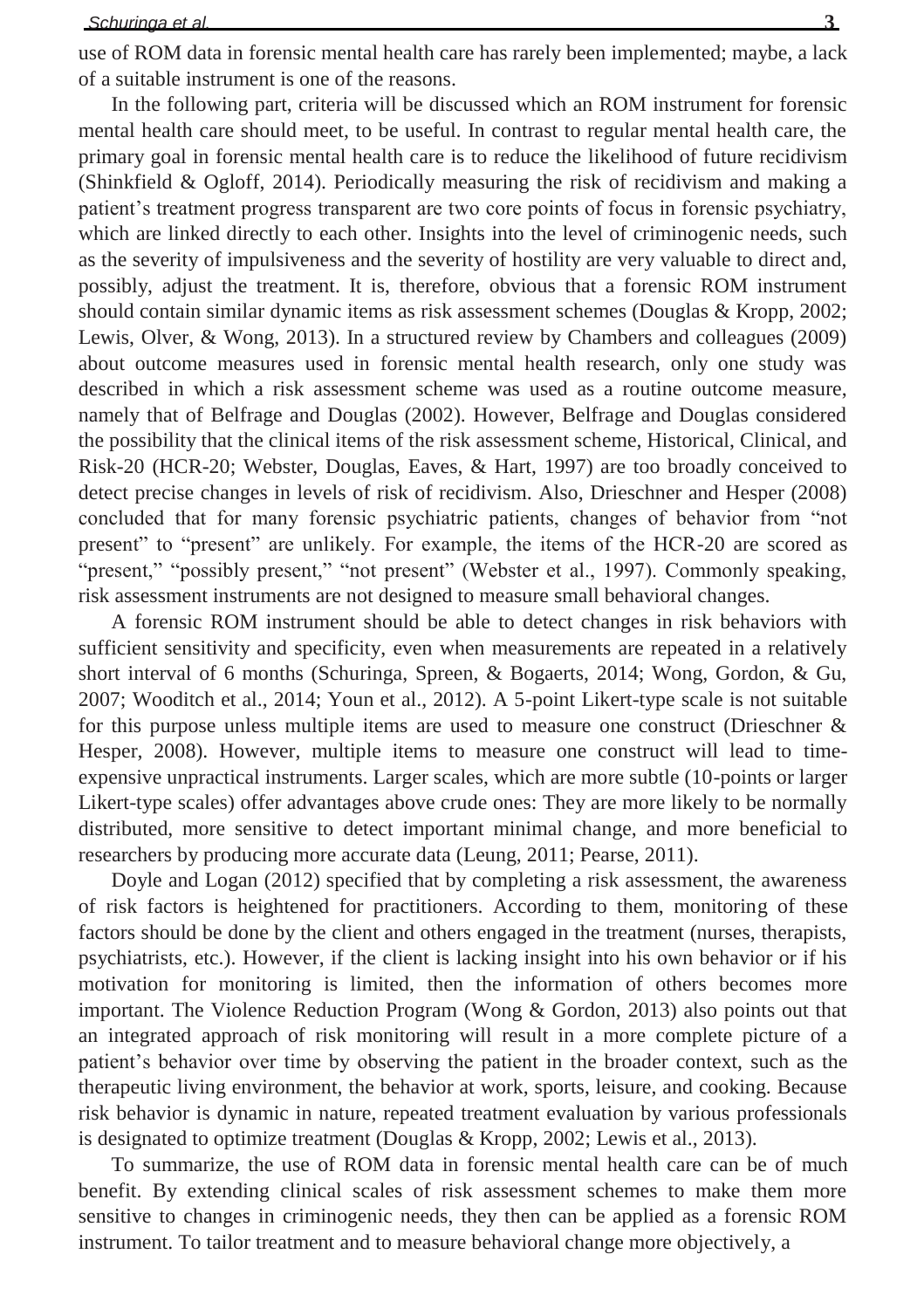use of ROM data in forensic mental health care has rarely been implemented; maybe, a lack of a suitable instrument is one of the reasons.

In the following part, criteria will be discussed which an ROM instrument for forensic mental health care should meet, to be useful. In contrast to regular mental health care, the primary goal in forensic mental health care is to reduce the likelihood of future recidivism (Shinkfield & Ogloff, 2014). Periodically measuring the risk of recidivism and making a patient's treatment progress transparent are two core points of focus in forensic psychiatry, which are linked directly to each other. Insights into the level of criminogenic needs, such as the severity of impulsiveness and the severity of hostility are very valuable to direct and, possibly, adjust the treatment. It is, therefore, obvious that a forensic ROM instrument should contain similar dynamic items as risk assessment schemes (Douglas & Kropp, 2002; Lewis, Olver, & Wong, 2013). In a structured review by Chambers and colleagues (2009) about outcome measures used in forensic mental health research, only one study was described in which a risk assessment scheme was used as a routine outcome measure, namely that of Belfrage and Douglas (2002). However, Belfrage and Douglas considered the possibility that the clinical items of the risk assessment scheme, Historical, Clinical, and Risk-20 (HCR-20; Webster, Douglas, Eaves, & Hart, 1997) are too broadly conceived to detect precise changes in levels of risk of recidivism. Also, Drieschner and Hesper (2008) concluded that for many forensic psychiatric patients, changes of behavior from "not present" to "present" are unlikely. For example, the items of the HCR-20 are scored as "present," "possibly present," "not present" (Webster et al., 1997). Commonly speaking, risk assessment instruments are not designed to measure small behavioral changes.

A forensic ROM instrument should be able to detect changes in risk behaviors with sufficient sensitivity and specificity, even when measurements are repeated in a relatively short interval of 6 months (Schuringa, Spreen, & Bogaerts, 2014; Wong, Gordon, & Gu, 2007; Wooditch et al., 2014; Youn et al., 2012). A 5-point Likert-type scale is not suitable for this purpose unless multiple items are used to measure one construct (Drieschner & Hesper, 2008). However, multiple items to measure one construct will lead to timeexpensive unpractical instruments. Larger scales, which are more subtle (10-points or larger Likert-type scales) offer advantages above crude ones: They are more likely to be normally distributed, more sensitive to detect important minimal change, and more beneficial to researchers by producing more accurate data (Leung, 2011; Pearse, 2011).

Doyle and Logan (2012) specified that by completing a risk assessment, the awareness of risk factors is heightened for practitioners. According to them, monitoring of these factors should be done by the client and others engaged in the treatment (nurses, therapists, psychiatrists, etc.). However, if the client is lacking insight into his own behavior or if his motivation for monitoring is limited, then the information of others becomes more important. The Violence Reduction Program (Wong & Gordon, 2013) also points out that an integrated approach of risk monitoring will result in a more complete picture of a patient's behavior over time by observing the patient in the broader context, such as the therapeutic living environment, the behavior at work, sports, leisure, and cooking. Because risk behavior is dynamic in nature, repeated treatment evaluation by various professionals is designated to optimize treatment (Douglas & Kropp, 2002; Lewis et al., 2013).

To summarize, the use of ROM data in forensic mental health care can be of much benefit. By extending clinical scales of risk assessment schemes to make them more sensitive to changes in criminogenic needs, they then can be applied as a forensic ROM instrument. To tailor treatment and to measure behavioral change more objectively, a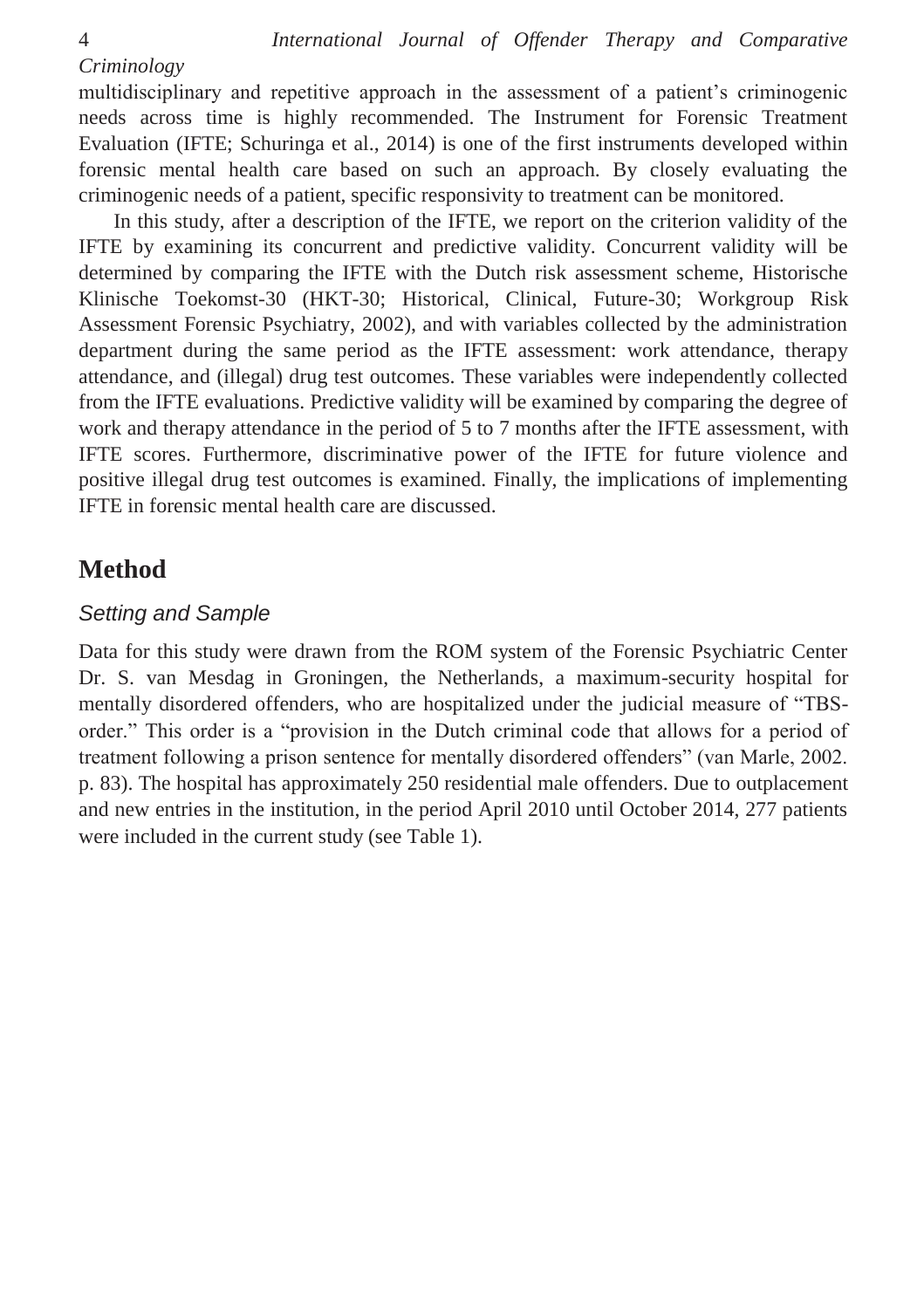## *Criminology*

multidisciplinary and repetitive approach in the assessment of a patient's criminogenic needs across time is highly recommended. The Instrument for Forensic Treatment Evaluation (IFTE; Schuringa et al., 2014) is one of the first instruments developed within forensic mental health care based on such an approach. By closely evaluating the criminogenic needs of a patient, specific responsivity to treatment can be monitored.

In this study, after a description of the IFTE, we report on the criterion validity of the IFTE by examining its concurrent and predictive validity. Concurrent validity will be determined by comparing the IFTE with the Dutch risk assessment scheme, Historische Klinische Toekomst-30 (HKT-30; Historical, Clinical, Future-30; Workgroup Risk Assessment Forensic Psychiatry, 2002), and with variables collected by the administration department during the same period as the IFTE assessment: work attendance, therapy attendance, and (illegal) drug test outcomes. These variables were independently collected from the IFTE evaluations. Predictive validity will be examined by comparing the degree of work and therapy attendance in the period of 5 to 7 months after the IFTE assessment, with IFTE scores. Furthermore, discriminative power of the IFTE for future violence and positive illegal drug test outcomes is examined. Finally, the implications of implementing IFTE in forensic mental health care are discussed.

# **Method**

## *Setting and Sample*

Data for this study were drawn from the ROM system of the Forensic Psychiatric Center Dr. S. van Mesdag in Groningen, the Netherlands, a maximum-security hospital for mentally disordered offenders, who are hospitalized under the judicial measure of "TBSorder." This order is a "provision in the Dutch criminal code that allows for a period of treatment following a prison sentence for mentally disordered offenders" (van Marle, 2002. p. 83). The hospital has approximately 250 residential male offenders. Due to outplacement and new entries in the institution, in the period April 2010 until October 2014, 277 patients were included in the current study (see Table 1).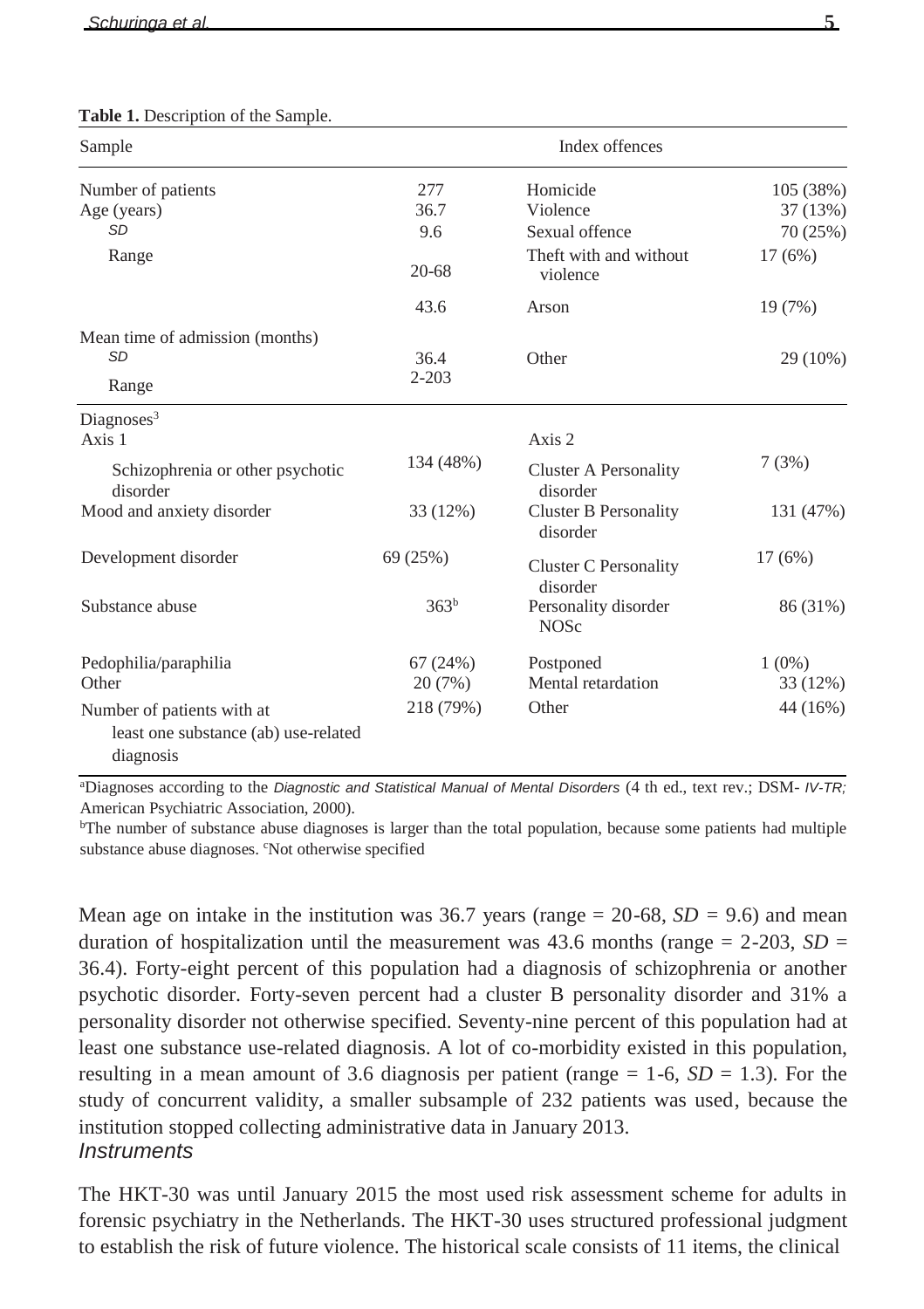| Sample                                            |           | Index offences                           |           |
|---------------------------------------------------|-----------|------------------------------------------|-----------|
| Number of patients                                | 277       | Homicide                                 | 105(38%)  |
| Age (years)                                       | 36.7      | Violence                                 | 37 (13%)  |
| SD                                                | 9.6       | Sexual offence                           | 70(25%)   |
| Range                                             | $20 - 68$ | Theft with and without<br>violence       | 17(6%)    |
|                                                   | 43.6      | Arson                                    | 19 (7%)   |
| Mean time of admission (months)                   |           |                                          |           |
| SD                                                | 36.4      | Other                                    | 29 (10%)  |
| Range                                             | $2 - 203$ |                                          |           |
| Diagnoses <sup>3</sup>                            |           |                                          |           |
| Axis 1                                            |           | Axis 2                                   |           |
| Schizophrenia or other psychotic<br>disorder      | 134 (48%) | <b>Cluster A Personality</b><br>disorder | 7(3%)     |
| Mood and anxiety disorder                         | 33 (12%)  | <b>Cluster B Personality</b><br>disorder | 131 (47%) |
| Development disorder                              | 69 (25%)  | <b>Cluster C Personality</b><br>disorder | 17(6%)    |
| Substance abuse                                   | $363^b$   | Personality disorder<br><b>NOSc</b>      | 86 (31%)  |
| Pedophilia/paraphilia                             | 67(24%)   | Postponed                                | $1(0\%)$  |
| Other                                             | 20(7%)    | Mental retardation                       | 33 (12%)  |
| Number of patients with at                        | 218 (79%) | Other                                    | 44 (16%)  |
| least one substance (ab) use-related<br>diagnosis |           |                                          |           |

<sup>a</sup>Diagnoses according to the *Diagnostic and Statistical Manual of Mental Disorders* (4 th ed., text rev.; DSM- *IV-TR;*  American Psychiatric Association, 2000).

<sup>b</sup>The number of substance abuse diagnoses is larger than the total population, because some patients had multiple substance abuse diagnoses. <sup>c</sup>Not otherwise specified

Mean age on intake in the institution was  $36.7$  years (range  $= 20-68$ ,  $SD = 9.6$ ) and mean duration of hospitalization until the measurement was 43.6 months (range  $= 2{\text -}203$ , *SD*  $=$ 36.4). Forty-eight percent of this population had a diagnosis of schizophrenia or another psychotic disorder. Forty-seven percent had a cluster B personality disorder and 31% a personality disorder not otherwise specified. Seventy-nine percent of this population had at least one substance use-related diagnosis. A lot of co-morbidity existed in this population, resulting in a mean amount of 3.6 diagnosis per patient (range  $= 1-6$ ,  $SD = 1.3$ ). For the study of concurrent validity, a smaller subsample of 232 patients was used, because the institution stopped collecting administrative data in January 2013. *Instruments*

The HKT-30 was until January 2015 the most used risk assessment scheme for adults in forensic psychiatry in the Netherlands. The HKT-30 uses structured professional judgment to establish the risk of future violence. The historical scale consists of 11 items, the clinical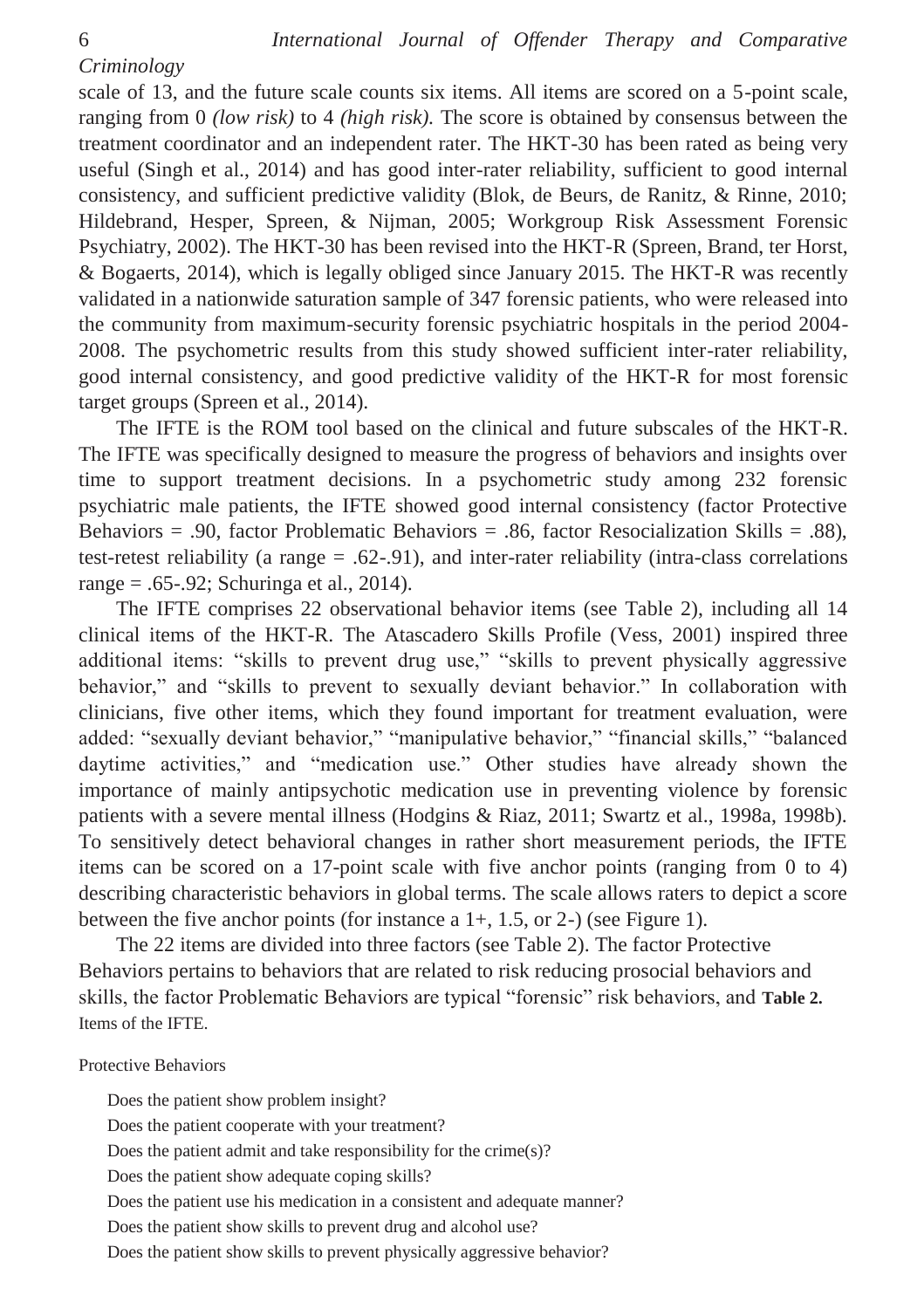6 *International Journal of Offender Therapy and Comparative* 

## *Criminology*

scale of 13, and the future scale counts six items. All items are scored on a 5-point scale, ranging from 0 *(low risk)* to 4 *(high risk).* The score is obtained by consensus between the treatment coordinator and an independent rater. The HKT-30 has been rated as being very useful (Singh et al., 2014) and has good inter-rater reliability, sufficient to good internal consistency, and sufficient predictive validity (Blok, de Beurs, de Ranitz, & Rinne, 2010; Hildebrand, Hesper, Spreen, & Nijman, 2005; Workgroup Risk Assessment Forensic Psychiatry, 2002). The HKT-30 has been revised into the HKT-R (Spreen, Brand, ter Horst, & Bogaerts, 2014), which is legally obliged since January 2015. The HKT-R was recently validated in a nationwide saturation sample of 347 forensic patients, who were released into the community from maximum-security forensic psychiatric hospitals in the period 2004- 2008. The psychometric results from this study showed sufficient inter-rater reliability, good internal consistency, and good predictive validity of the HKT-R for most forensic target groups (Spreen et al., 2014).

The IFTE is the ROM tool based on the clinical and future subscales of the HKT-R. The IFTE was specifically designed to measure the progress of behaviors and insights over time to support treatment decisions. In a psychometric study among 232 forensic psychiatric male patients, the IFTE showed good internal consistency (factor Protective Behaviors = .90, factor Problematic Behaviors = .86, factor Resocialization Skills = .88), test-retest reliability (a range = .62-.91), and inter-rater reliability (intra-class correlations range = .65-.92; Schuringa et al., 2014).

The IFTE comprises 22 observational behavior items (see Table 2), including all 14 clinical items of the HKT-R. The Atascadero Skills Profile (Vess, 2001) inspired three additional items: "skills to prevent drug use," "skills to prevent physically aggressive behavior," and "skills to prevent to sexually deviant behavior." In collaboration with clinicians, five other items, which they found important for treatment evaluation, were added: "sexually deviant behavior," "manipulative behavior," "financial skills," "balanced daytime activities," and "medication use." Other studies have already shown the importance of mainly antipsychotic medication use in preventing violence by forensic patients with a severe mental illness (Hodgins & Riaz, 2011; Swartz et al., 1998a, 1998b). To sensitively detect behavioral changes in rather short measurement periods, the IFTE items can be scored on a 17-point scale with five anchor points (ranging from 0 to 4) describing characteristic behaviors in global terms. The scale allows raters to depict a score between the five anchor points (for instance a  $1+, 1.5,$  or  $2$ -) (see Figure 1).

The 22 items are divided into three factors (see Table 2). The factor Protective Behaviors pertains to behaviors that are related to risk reducing prosocial behaviors and skills, the factor Problematic Behaviors are typical "forensic" risk behaviors, and **Table 2.**  Items of the IFTE.

#### Protective Behaviors

Does the patient show problem insight? Does the patient cooperate with your treatment? Does the patient admit and take responsibility for the crime(s)? Does the patient show adequate coping skills? Does the patient use his medication in a consistent and adequate manner? Does the patient show skills to prevent drug and alcohol use? Does the patient show skills to prevent physically aggressive behavior?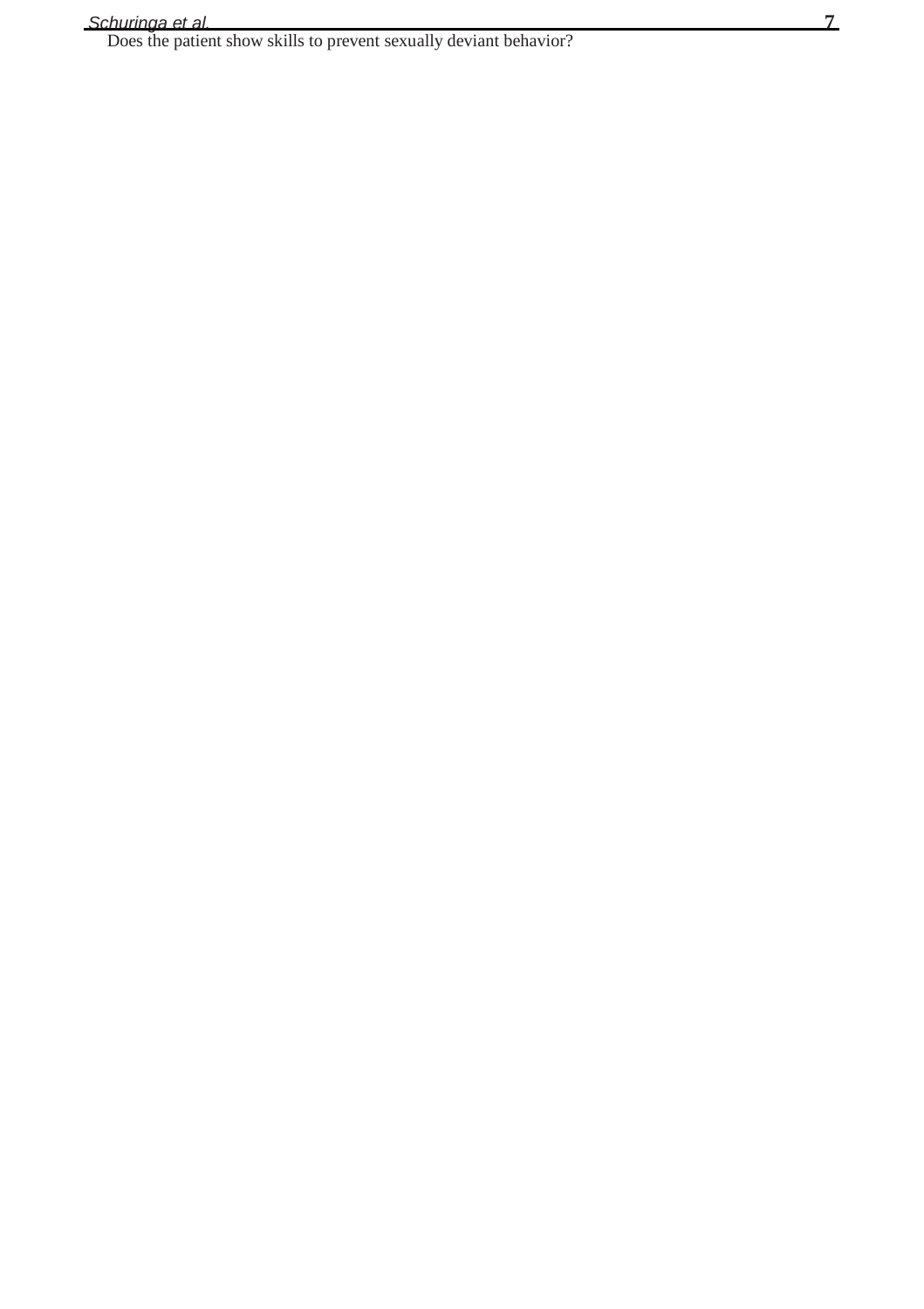*Schuringa et al.* Does the patient show skills to prevent sexually deviant behavior?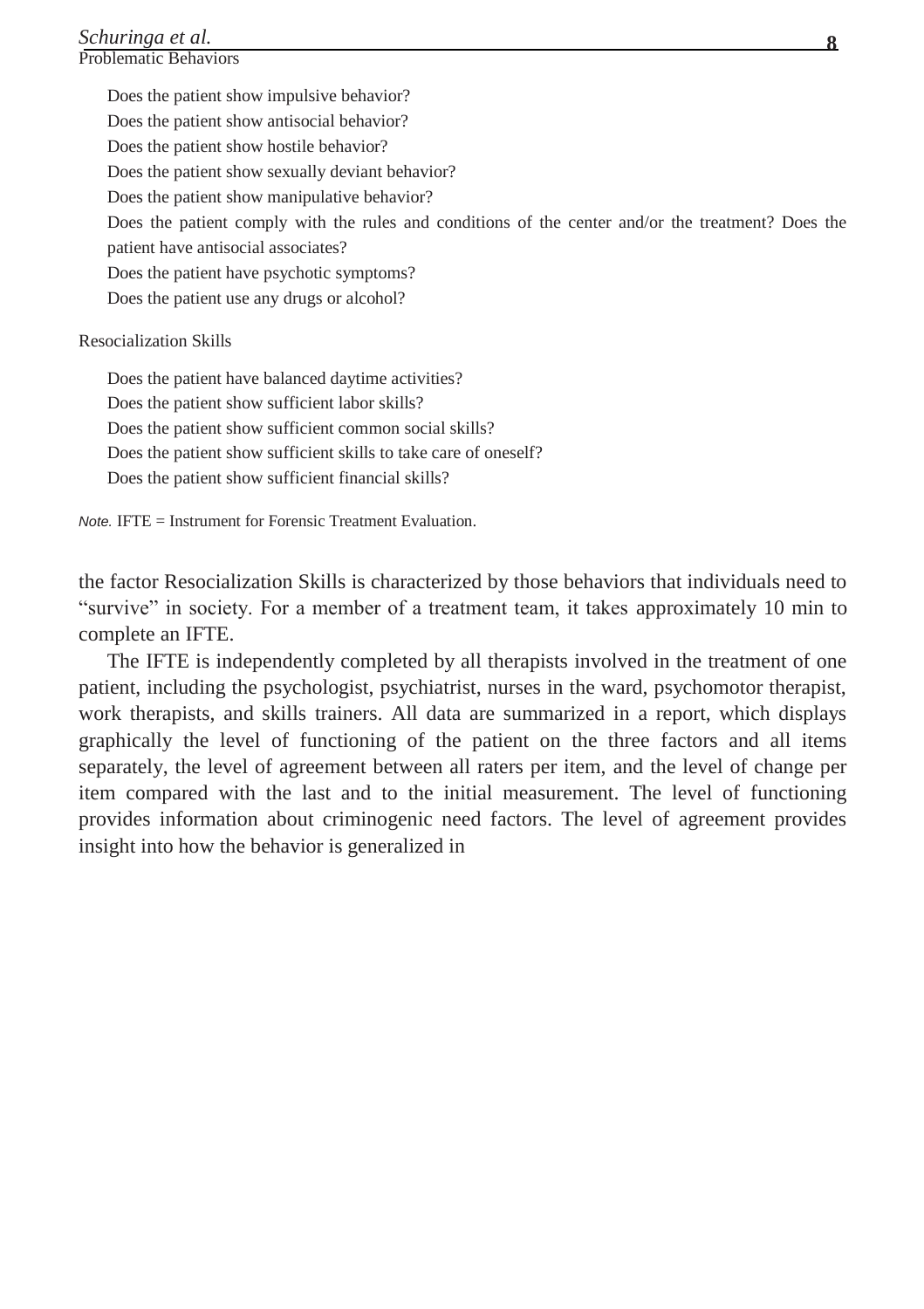Problematic Behaviors

Does the patient show impulsive behavior? Does the patient show antisocial behavior? Does the patient show hostile behavior? Does the patient show sexually deviant behavior? Does the patient show manipulative behavior? Does the patient comply with the rules and conditions of the center and/or the treatment? Does the patient have antisocial associates? Does the patient have psychotic symptoms? Does the patient use any drugs or alcohol?

## Resocialization Skills

Does the patient have balanced daytime activities? Does the patient show sufficient labor skills? Does the patient show sufficient common social skills? Does the patient show sufficient skills to take care of oneself? Does the patient show sufficient financial skills?

*Note.* IFTE = Instrument for Forensic Treatment Evaluation.

the factor Resocialization Skills is characterized by those behaviors that individuals need to "survive" in society. For a member of a treatment team, it takes approximately 10 min to complete an IFTE.

The IFTE is independently completed by all therapists involved in the treatment of one patient, including the psychologist, psychiatrist, nurses in the ward, psychomotor therapist, work therapists, and skills trainers. All data are summarized in a report, which displays graphically the level of functioning of the patient on the three factors and all items separately, the level of agreement between all raters per item, and the level of change per item compared with the last and to the initial measurement. The level of functioning provides information about criminogenic need factors. The level of agreement provides insight into how the behavior is generalized in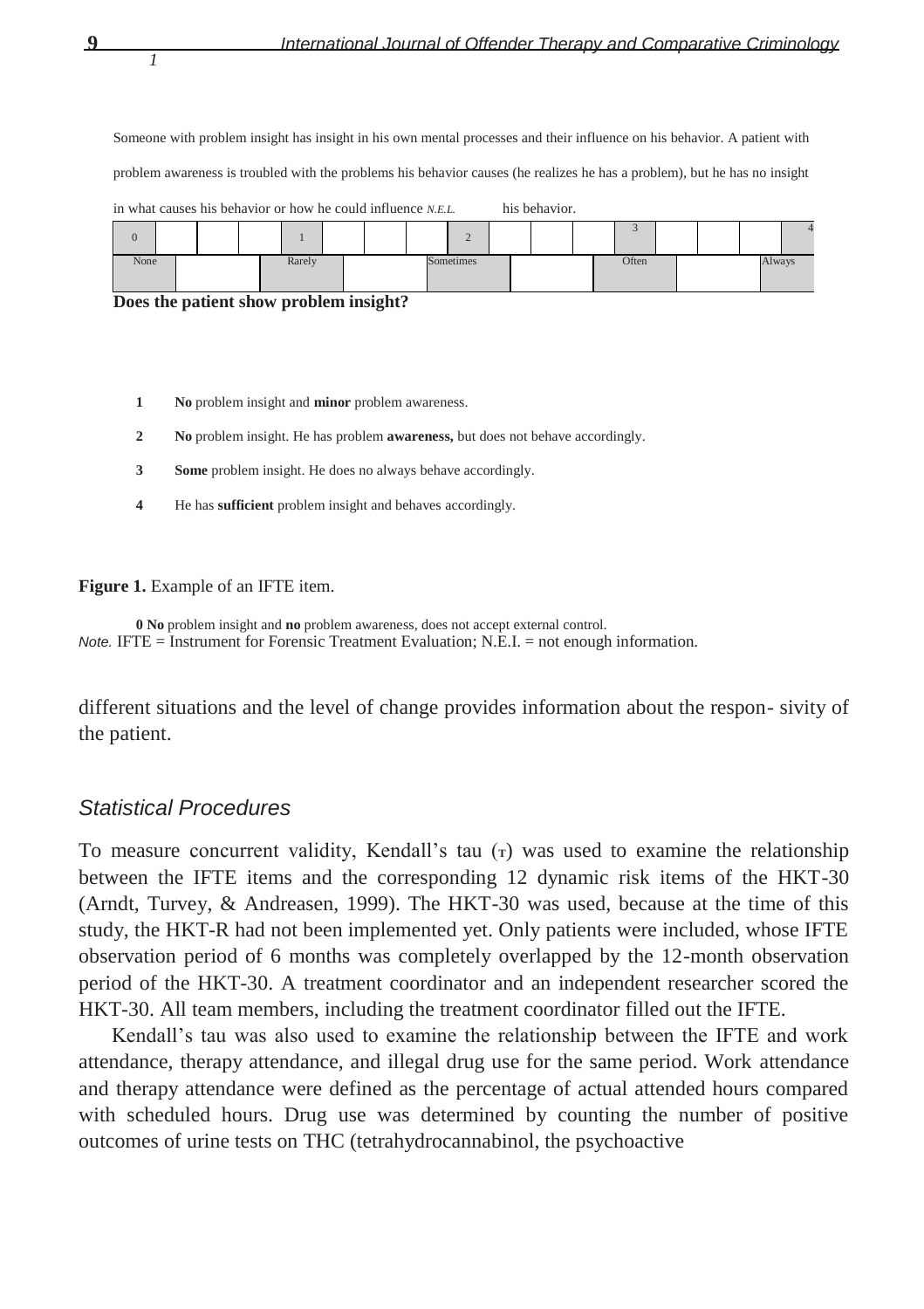*1*

Someone with problem insight has insight in his own mental processes and their influence on his behavior. A patient with

problem awareness is troubled with the problems his behavior causes (he realizes he has a problem), but he has no insight

| in what causes his behavior or how he could influence <i>N.E.L.</i> | his behavior. |
|---------------------------------------------------------------------|---------------|
|---------------------------------------------------------------------|---------------|

| $\mathbf{a}$<br>v |  |        |  | c         |  |       |  |        |
|-------------------|--|--------|--|-----------|--|-------|--|--------|
| None              |  | Rarely |  | Sometimes |  | Often |  | Always |

**Does the patient show problem insight?**

- **1 No** problem insight and **minor** problem awareness.
- **2 No** problem insight. He has problem **awareness,** but does not behave accordingly.
- **3 Some** problem insight. He does no always behave accordingly.
- **4** He has **sufficient** problem insight and behaves accordingly.

Figure 1. Example of an IFTE item.

**0 No** problem insight and **no** problem awareness, does not accept external control. *Note.* IFTE = Instrument for Forensic Treatment Evaluation; N.E.I. = not enough information.

different situations and the level of change provides information about the respon- sivity of the patient.

## *Statistical Procedures*

To measure concurrent validity, Kendall's tau (**T**) was used to examine the relationship between the IFTE items and the corresponding 12 dynamic risk items of the HKT-30 (Arndt, Turvey, & Andreasen, 1999). The HKT-30 was used, because at the time of this study, the HKT-R had not been implemented yet. Only patients were included, whose IFTE observation period of 6 months was completely overlapped by the 12-month observation period of the HKT-30. A treatment coordinator and an independent researcher scored the HKT-30. All team members, including the treatment coordinator filled out the IFTE.

Kendall's tau was also used to examine the relationship between the IFTE and work attendance, therapy attendance, and illegal drug use for the same period. Work attendance and therapy attendance were defined as the percentage of actual attended hours compared with scheduled hours. Drug use was determined by counting the number of positive outcomes of urine tests on THC (tetrahydrocannabinol, the psychoactive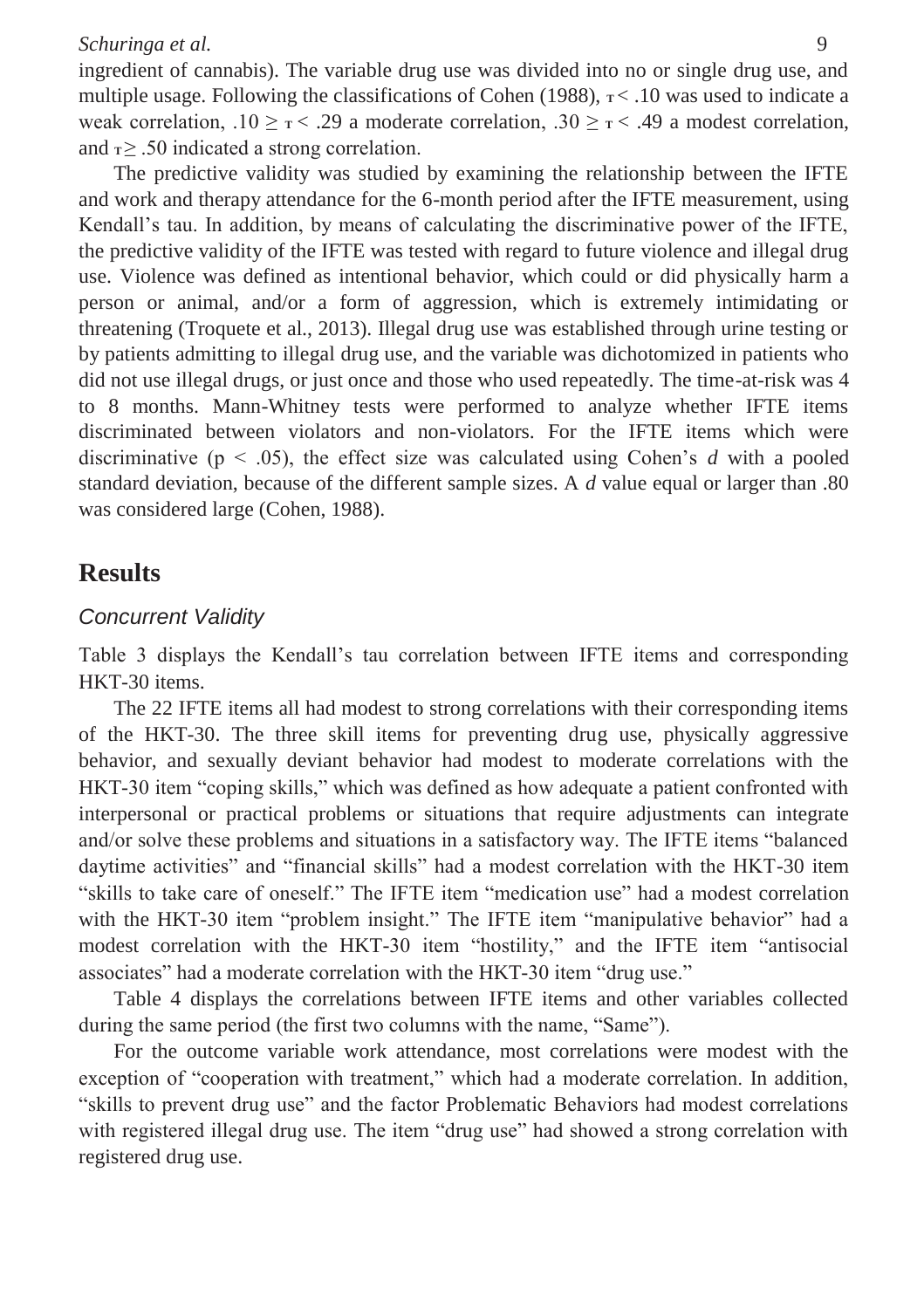#### *Schuringa et al.* 9

ingredient of cannabis). The variable drug use was divided into no or single drug use, and multiple usage. Following the classifications of Cohen (1988),  $\tau$  < .10 was used to indicate a weak correlation, .10  $\geq$  **T**  $\lt$  .29 a moderate correlation, .30  $\geq$  **T** $\lt$  .49 a modest correlation, and  $\tau \geq 0.50$  indicated a strong correlation.

The predictive validity was studied by examining the relationship between the IFTE and work and therapy attendance for the 6-month period after the IFTE measurement, using Kendall's tau. In addition, by means of calculating the discriminative power of the IFTE, the predictive validity of the IFTE was tested with regard to future violence and illegal drug use. Violence was defined as intentional behavior, which could or did physically harm a person or animal, and/or a form of aggression, which is extremely intimidating or threatening (Troquete et al., 2013). Illegal drug use was established through urine testing or by patients admitting to illegal drug use, and the variable was dichotomized in patients who did not use illegal drugs, or just once and those who used repeatedly. The time-at-risk was 4 to 8 months. Mann-Whitney tests were performed to analyze whether IFTE items discriminated between violators and non-violators. For the IFTE items which were discriminative ( $p < .05$ ), the effect size was calculated using Cohen's *d* with a pooled standard deviation, because of the different sample sizes. A *d* value equal or larger than .80 was considered large (Cohen, 1988).

# **Results**

### *Concurrent Validity*

Table 3 displays the Kendall's tau correlation between IFTE items and corresponding HKT-30 items.

The 22 IFTE items all had modest to strong correlations with their corresponding items of the HKT-30. The three skill items for preventing drug use, physically aggressive behavior, and sexually deviant behavior had modest to moderate correlations with the HKT-30 item "coping skills," which was defined as how adequate a patient confronted with interpersonal or practical problems or situations that require adjustments can integrate and/or solve these problems and situations in a satisfactory way. The IFTE items "balanced daytime activities" and "financial skills" had a modest correlation with the HKT-30 item "skills to take care of oneself." The IFTE item "medication use" had a modest correlation with the HKT-30 item "problem insight." The IFTE item "manipulative behavior" had a modest correlation with the HKT-30 item "hostility," and the IFTE item "antisocial associates" had a moderate correlation with the HKT-30 item "drug use."

Table 4 displays the correlations between IFTE items and other variables collected during the same period (the first two columns with the name, "Same").

For the outcome variable work attendance, most correlations were modest with the exception of "cooperation with treatment," which had a moderate correlation. In addition, "skills to prevent drug use" and the factor Problematic Behaviors had modest correlations with registered illegal drug use. The item "drug use" had showed a strong correlation with registered drug use.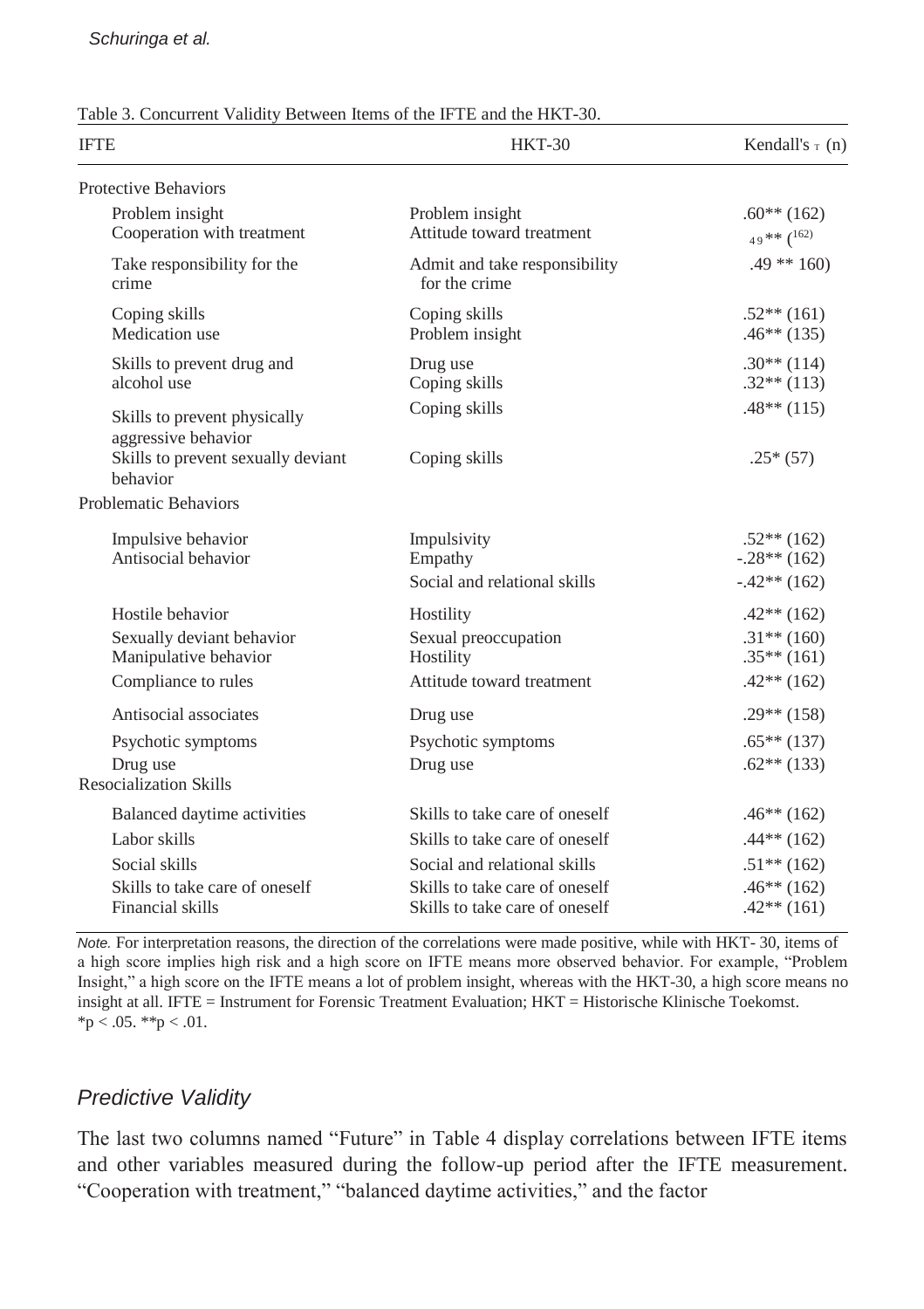| Table 3. Concurrent Validity Between Items of the IFTE and the HKT-30. |  |  |  |
|------------------------------------------------------------------------|--|--|--|
|                                                                        |  |  |  |

| <b>IFTE</b>                                                                                           | <b>HKT-30</b>                                                                                                                      | Kendall's $\tau$ (n)                                             |  |  |
|-------------------------------------------------------------------------------------------------------|------------------------------------------------------------------------------------------------------------------------------------|------------------------------------------------------------------|--|--|
| <b>Protective Behaviors</b>                                                                           |                                                                                                                                    |                                                                  |  |  |
| Problem insight<br>Cooperation with treatment                                                         | Problem insight<br>Attitude toward treatment                                                                                       | $.60**$ (162)<br>$49**(^{162})$                                  |  |  |
| Take responsibility for the<br>crime                                                                  | Admit and take responsibility<br>for the crime                                                                                     | $.49**160$                                                       |  |  |
| Coping skills<br>Medication use                                                                       | Coping skills<br>Problem insight                                                                                                   | $.52**$ (161)<br>$.46**$ (135)                                   |  |  |
| Skills to prevent drug and<br>alcohol use                                                             | Drug use<br>Coping skills                                                                                                          | $.30**$ (114)<br>$.32**$ (113)                                   |  |  |
| Skills to prevent physically<br>aggressive behavior<br>Skills to prevent sexually deviant<br>behavior | Coping skills<br>Coping skills                                                                                                     | $.48**$ (115)<br>$.25*(57)$                                      |  |  |
| Problematic Behaviors                                                                                 |                                                                                                                                    |                                                                  |  |  |
| Impulsive behavior<br>Antisocial behavior                                                             | Impulsivity<br>Empathy<br>Social and relational skills                                                                             | $.52**$ (162)<br>$-.28**$ (162)<br>$-42**$ (162)                 |  |  |
| Hostile behavior<br>Sexually deviant behavior<br>Manipulative behavior<br>Compliance to rules         | Hostility<br>Sexual preoccupation<br>Hostility<br>Attitude toward treatment                                                        | $.42**$ (162)<br>$.31***(160)$<br>$.35***(161)$<br>$.42**$ (162) |  |  |
| Antisocial associates<br>Psychotic symptoms<br>Drug use                                               | Drug use<br>Psychotic symptoms<br>Drug use                                                                                         | $.29**$ (158)<br>$.65***(137)$<br>$.62**$ (133)                  |  |  |
| <b>Resocialization Skills</b>                                                                         |                                                                                                                                    |                                                                  |  |  |
| Balanced daytime activities<br>Labor skills<br>Social skills<br>Skills to take care of oneself        | Skills to take care of oneself<br>Skills to take care of oneself<br>Social and relational skills<br>Skills to take care of oneself | $.46**$ (162)<br>$.44**$ (162)<br>$.51**$ (162)<br>$.46**$ (162) |  |  |
| Financial skills                                                                                      | Skills to take care of oneself                                                                                                     | $.42**$ (161)                                                    |  |  |

*Note.* For interpretation reasons, the direction of the correlations were made positive, while with HKT- 30, items of a high score implies high risk and a high score on IFTE means more observed behavior. For example, "Problem Insight," a high score on the IFTE means a lot of problem insight, whereas with the HKT-30, a high score means no insight at all. IFTE = Instrument for Forensic Treatment Evaluation; HKT = Historische Klinische Toekomst.  $*p < .05$ .  $**p < .01$ .

# *Predictive Validity*

The last two columns named "Future" in Table 4 display correlations between IFTE items and other variables measured during the follow-up period after the IFTE measurement. "Cooperation with treatment," "balanced daytime activities," and the factor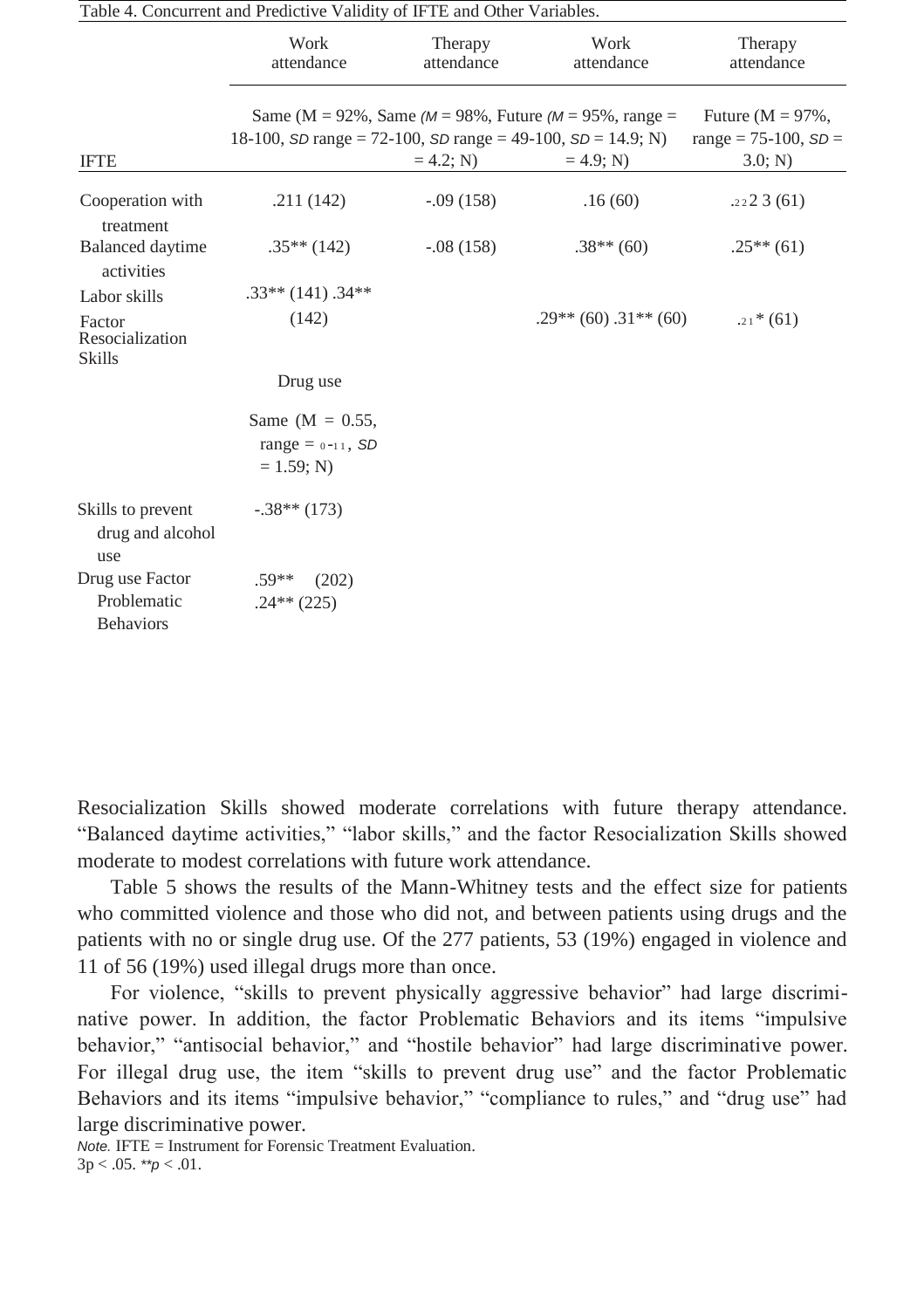|                                                    | Table +. Concurrent and Freuden ve Vandry of IT TE and Other Vanables. |                       |                                                                                |                                                              |
|----------------------------------------------------|------------------------------------------------------------------------|-----------------------|--------------------------------------------------------------------------------|--------------------------------------------------------------|
|                                                    | Work<br>attendance                                                     | Therapy<br>attendance | Work<br>attendance                                                             | Therapy<br>attendance                                        |
| <b>IFTE</b>                                        | 18-100, SD range = 72-100, SD range = 49-100, SD = 14.9; N)            | $= 4.2; N$            | Same (M = 92%, Same ( $M = 98\%$ , Future ( $M = 95\%$ , range =<br>$= 4.9; N$ | Future ( $M = 97\%$ ,<br>$range = 75-100$ , $SD =$<br>3.0; N |
| Cooperation with<br>treatment                      | .211(142)                                                              | $-.09(158)$           | .16(60)                                                                        | .2223(61)                                                    |
| <b>Balanced</b> daytime<br>activities              | $.35***(142)$                                                          | $-.08(158)$           | $.38**$ (60)                                                                   | $.25**$ (61)                                                 |
| Labor skills                                       | $.33**$ (141) $.34**$                                                  |                       |                                                                                |                                                              |
| Factor<br>Resocialization<br><b>Skills</b>         | (142)                                                                  |                       | $.29**$ (60) $.31**$ (60)                                                      | $.21*(61)$                                                   |
|                                                    | Drug use                                                               |                       |                                                                                |                                                              |
|                                                    | Same ( $M = 0.55$ ,<br>range = $0 - 11$ , SD<br>$= 1.59$ ; N)          |                       |                                                                                |                                                              |
| Skills to prevent<br>drug and alcohol<br>use       | $-.38**$ (173)                                                         |                       |                                                                                |                                                              |
| Drug use Factor<br>Problematic<br><b>Behaviors</b> | $.59**$<br>(202)<br>$.24**$ (225)                                      |                       |                                                                                |                                                              |

Table 4. Concurrent and Predictive Validity of IFTE and Other Variables.

Resocialization Skills showed moderate correlations with future therapy attendance. "Balanced daytime activities," "labor skills," and the factor Resocialization Skills showed moderate to modest correlations with future work attendance.

Table 5 shows the results of the Mann-Whitney tests and the effect size for patients who committed violence and those who did not, and between patients using drugs and the patients with no or single drug use. Of the 277 patients, 53 (19%) engaged in violence and 11 of 56 (19%) used illegal drugs more than once.

For violence, "skills to prevent physically aggressive behavior" had large discriminative power. In addition, the factor Problematic Behaviors and its items "impulsive behavior," "antisocial behavior," and "hostile behavior" had large discriminative power. For illegal drug use, the item "skills to prevent drug use" and the factor Problematic Behaviors and its items "impulsive behavior," "compliance to rules," and "drug use" had large discriminative power.

*Note.* IFTE = Instrument for Forensic Treatment Evaluation.  $3p < .05$ . *\*\*p* < .01.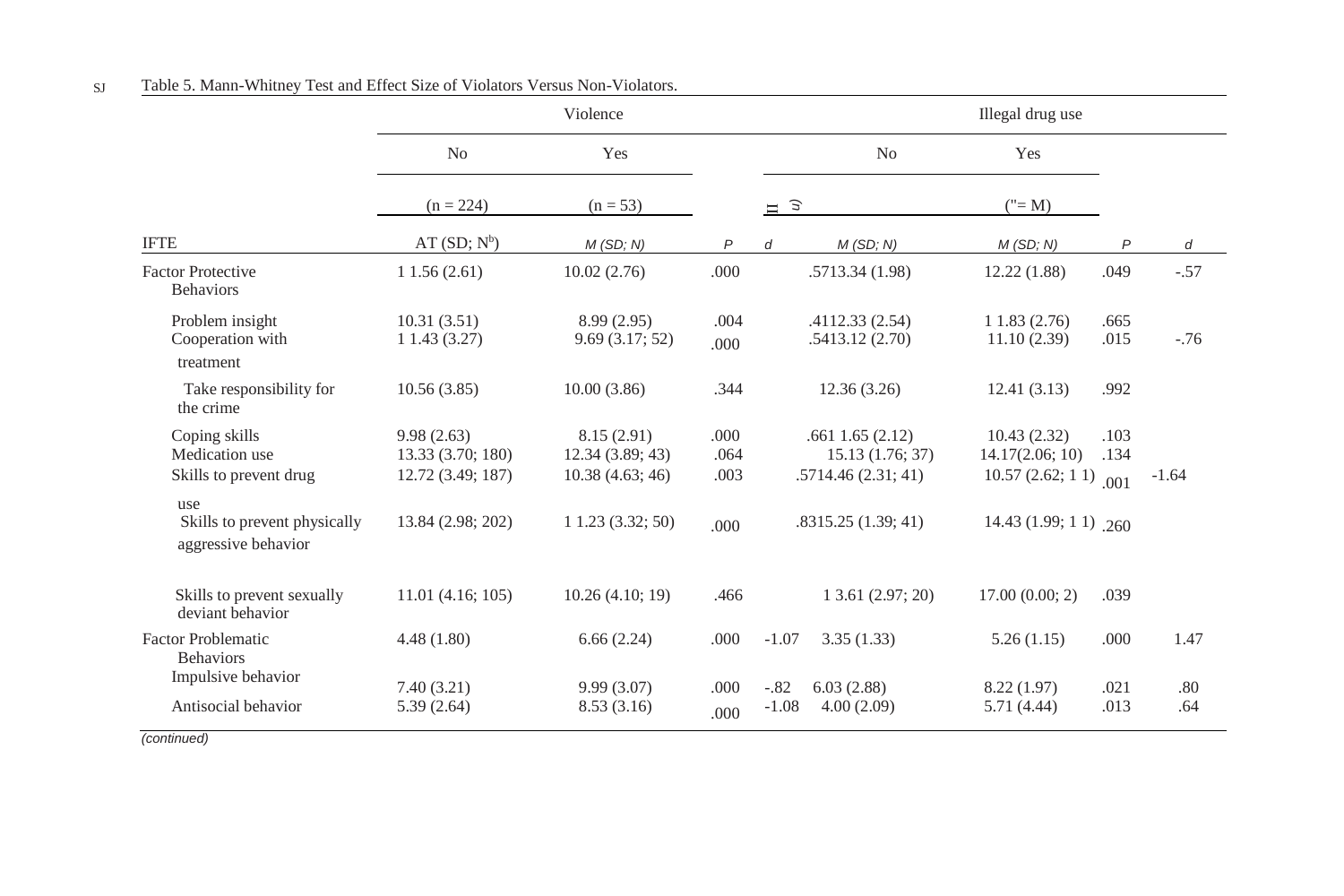|                                                                          | Violence                                             |                                                  |                      |                                                          | Illegal drug use                                  |                      |            |  |  |  |
|--------------------------------------------------------------------------|------------------------------------------------------|--------------------------------------------------|----------------------|----------------------------------------------------------|---------------------------------------------------|----------------------|------------|--|--|--|
|                                                                          | N <sub>0</sub>                                       | Yes                                              |                      | N <sub>o</sub>                                           | Yes                                               |                      |            |  |  |  |
|                                                                          | $(n = 224)$                                          | $(n = 53)$                                       |                      | $\Xi$ $\Xi$                                              | $("= M)$                                          |                      |            |  |  |  |
| <b>IFTE</b>                                                              | $AT(SD; N^b)$                                        | M(SD; N)                                         | $\mathsf{P}$         | d<br>M(SD; N)                                            | M(SD; N)                                          | $\overline{P}$       | d          |  |  |  |
| <b>Factor Protective</b><br><b>Behaviors</b>                             | 11.56(2.61)                                          | 10.02(2.76)                                      | .000                 | .5713.34 (1.98)                                          | 12.22(1.88)                                       | .049                 | $-.57$     |  |  |  |
| Problem insight<br>Cooperation with<br>treatment                         | 10.31(3.51)<br>11.43(3.27)                           | 8.99(2.95)<br>9.69(3.17; 52)                     | .004<br>.000         | .4112.33(2.54)<br>.5413.12 (2.70)                        | 11.83(2.76)<br>11.10(2.39)                        | .665<br>.015         | $-.76$     |  |  |  |
| Take responsibility for<br>the crime                                     | 10.56(3.85)                                          | 10.00(3.86)                                      | .344                 | 12.36(3.26)                                              | 12.41(3.13)                                       | .992                 |            |  |  |  |
| Coping skills<br>Medication use<br>Skills to prevent drug                | 9.98(2.63)<br>13.33 (3.70; 180)<br>12.72 (3.49; 187) | 8.15(2.91)<br>12.34(3.89; 43)<br>10.38(4.63; 46) | .000<br>.064<br>.003 | .6611.65(2.12)<br>15.13 (1.76; 37)<br>.5714.46(2.31; 41) | 10.43(2.32)<br>14.17(2.06; 10)<br>10.57(2.62; 11) | .103<br>.134<br>.001 | $-1.64$    |  |  |  |
| use<br>Skills to prevent physically<br>aggressive behavior               | 13.84 (2.98; 202)                                    | $1\,1.23\,(3.32; 50)$                            | .000                 | .8315.25(1.39; 41)                                       | 14.43 $(1.99; 11)$ 260                            |                      |            |  |  |  |
| Skills to prevent sexually<br>deviant behavior                           | 11.01(4.16; 105)                                     | 10.26(4.10; 19)                                  | .466                 | 13.61(2.97; 20)                                          | 17.00(0.00; 2)                                    | .039                 |            |  |  |  |
| <b>Factor Problematic</b><br><b>Behaviors</b>                            | 4.48(1.80)                                           | 6.66(2.24)                                       | .000                 | 3.35(1.33)<br>$-1.07$                                    | 5.26(1.15)                                        | .000                 | 1.47       |  |  |  |
| Impulsive behavior<br>Antisocial behavior<br>$\sim 10^4$ and $\sim 10^4$ | 7.40(3.21)<br>5.39(2.64)                             | 9.99(3.07)<br>8.53(3.16)                         | .000<br>.000         | $-.82$<br>6.03(2.88)<br>$-1.08$<br>4.00(2.09)            | 8.22(1.97)<br>5.71 (4.44)                         | .021<br>.013         | .80<br>.64 |  |  |  |

SJ Table 5. Mann-Whitney Test and Effect Size of Violators Versus Non-Violators.

*(continued)*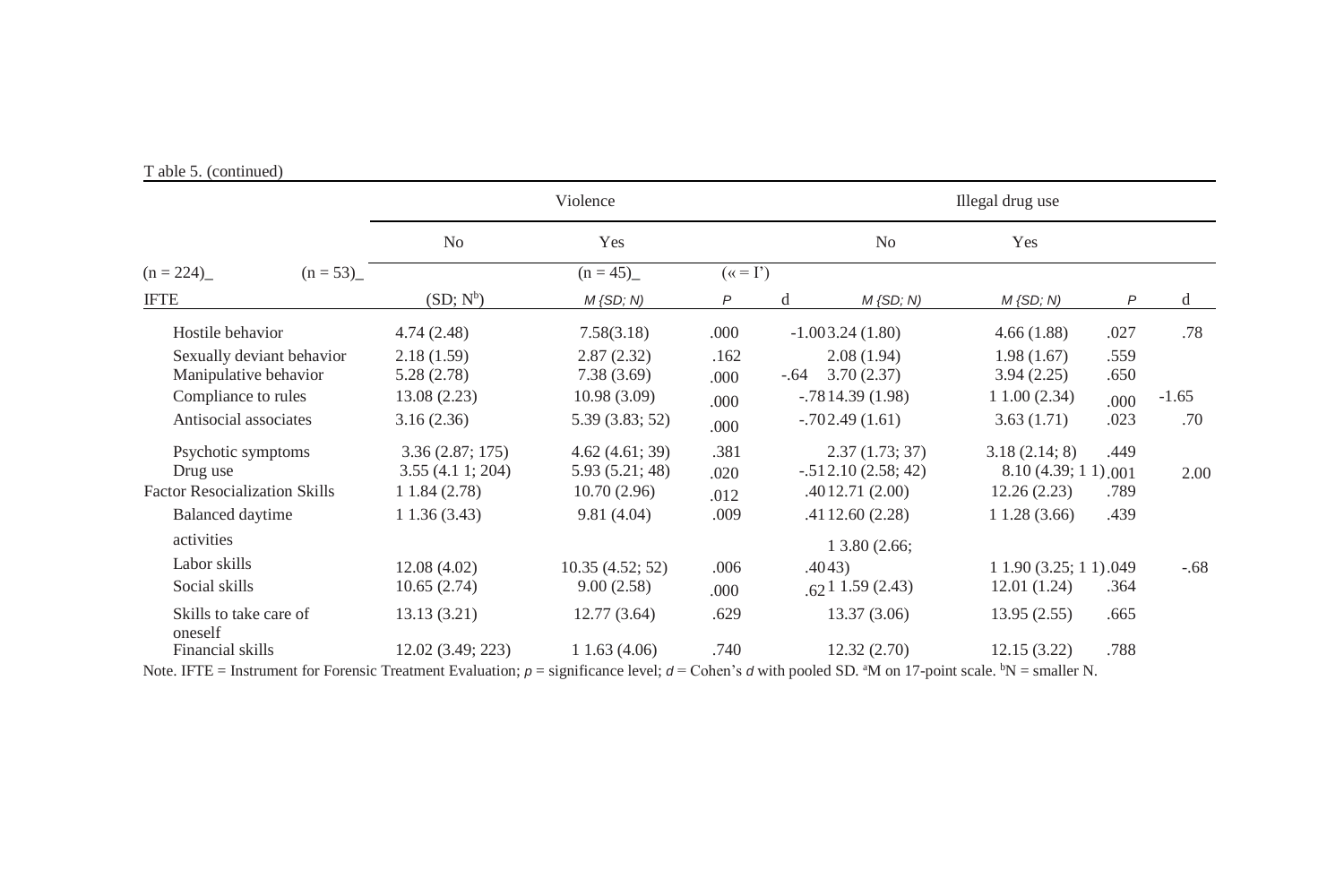#### T able 5. (continued)

|                                                                                                                                                                                                                                                    |            | Violence                           |                                  |                 |                   | Illegal drug use                       |                                       |                |         |  |  |
|----------------------------------------------------------------------------------------------------------------------------------------------------------------------------------------------------------------------------------------------------|------------|------------------------------------|----------------------------------|-----------------|-------------------|----------------------------------------|---------------------------------------|----------------|---------|--|--|
|                                                                                                                                                                                                                                                    |            | N <sub>o</sub>                     | Yes                              |                 |                   | No                                     | Yes                                   |                |         |  |  |
| $(n = 224)$                                                                                                                                                                                                                                        | $(n = 53)$ |                                    | $(n = 45)$                       | $(\alpha = I')$ |                   |                                        |                                       |                |         |  |  |
| <b>IFTE</b>                                                                                                                                                                                                                                        |            | $(SD; N^b)$                        | $M$ {SD; $N$ )                   | $\mathsf{P}$    | d                 | $M$ {SD; N)                            | $M$ {SD; $N$ )                        | $\overline{P}$ | d       |  |  |
| Hostile behavior                                                                                                                                                                                                                                   |            | 4.74(2.48)                         | 7.58(3.18)                       | .000            | $-1.003.24(1.80)$ |                                        | 4.66(1.88)                            | .027           | .78     |  |  |
| Sexually deviant behavior<br>Manipulative behavior                                                                                                                                                                                                 |            | 2.18(1.59)<br>5.28(2.78)           | 2.87(2.32)<br>7.38(3.69)         | .162<br>.000    | -.64              | 2.08(1.94)<br>3.70(2.37)               | 1.98(1.67)<br>3.94(2.25)              | .559<br>.650   |         |  |  |
| Compliance to rules                                                                                                                                                                                                                                |            | 13.08(2.23)                        | 10.98(3.09)                      | .000            |                   | $-0.7814.39(1.98)$                     | 11.00(2.34)                           | .000           | $-1.65$ |  |  |
| Antisocial associates                                                                                                                                                                                                                              |            | 3.16(2.36)                         | 5.39(3.83; 52)                   | .000            | $-0.702.49(1.61)$ |                                        | 3.63(1.71)                            | .023           | .70     |  |  |
| Psychotic symptoms<br>Drug use                                                                                                                                                                                                                     |            | 3.36(2.87; 175)<br>3.55(4.11; 204) | 4.62(4.61; 39)<br>5.93(5.21; 48) | .381<br>.020    |                   | 2.37(1.73; 37)<br>$-.512.10(2.58; 42)$ | 3.18(2.14; 8)<br>8.10 (4.39; 1 1) 001 | .449           | 2.00    |  |  |
| <b>Factor Resocialization Skills</b>                                                                                                                                                                                                               |            | 11.84(2.78)                        | 10.70(2.96)                      | .012            |                   | .4012.71(2.00)                         | 12.26(2.23)                           | .789           |         |  |  |
| Balanced daytime                                                                                                                                                                                                                                   |            | 11.36(3.43)                        | 9.81(4.04)                       | .009            |                   | .41 12.60 (2.28)                       | 11.28(3.66)                           | .439           |         |  |  |
| activities                                                                                                                                                                                                                                         |            |                                    |                                  |                 |                   | 1 3.80 (2.66;                          |                                       |                |         |  |  |
| Labor skills<br>Social skills                                                                                                                                                                                                                      |            | 12.08(4.02)<br>10.65(2.74)         | 10.35(4.52; 52)<br>9.00(2.58)    | .006<br>.000    | .4043)            | $.62$ <sup>1</sup> 1.59 (2.43)         | 1 1.90 (3.25; 1 1).049<br>12.01(1.24) | .364           | $-.68$  |  |  |
| Skills to take care of<br>oneself                                                                                                                                                                                                                  |            | 13.13(3.21)                        | 12.77(3.64)                      | .629            |                   | 13.37 (3.06)                           | 13.95(2.55)                           | .665           |         |  |  |
| Financial skills<br>Martin 1990 The construction of the construction of the control of a control of control of a construction of the Martin Control of the Martin Control of the Martin Control of the Martin Control of the Martin Control of the |            | 12.02 (3.49; 223)                  | 11.63(4.06)                      | .740            |                   | 12.32(2.70)                            | 12.15(3.22)                           | .788           |         |  |  |

Note. IFTE = Instrument for Forensic Treatment Evaluation;  $p =$  significance level;  $d =$  Cohen's  $d$  with pooled SD. <sup>a</sup>M on 17-point scale. <sup>b</sup>N = smaller N.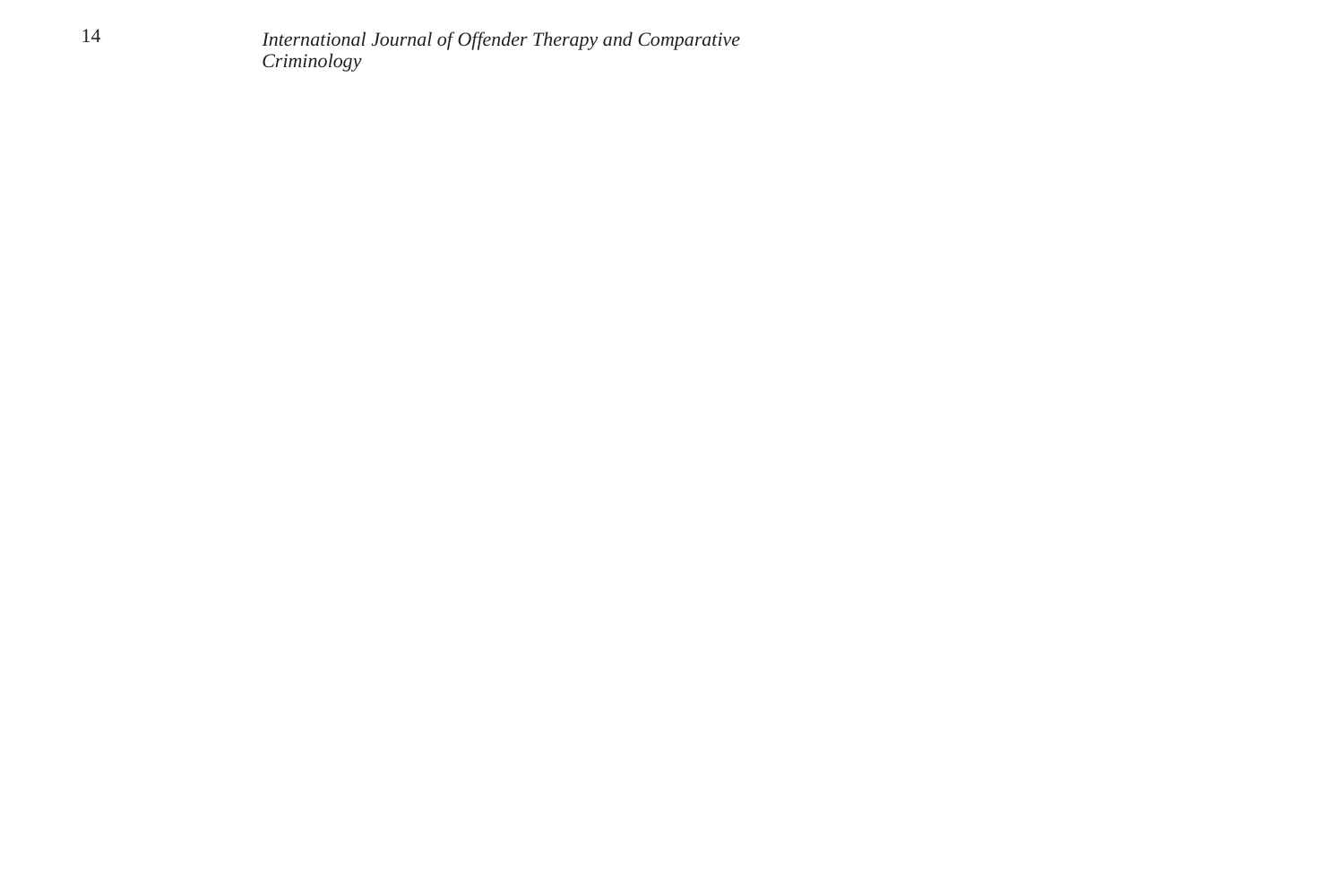14 *International Journal of Offender Therapy and Comparative Criminology*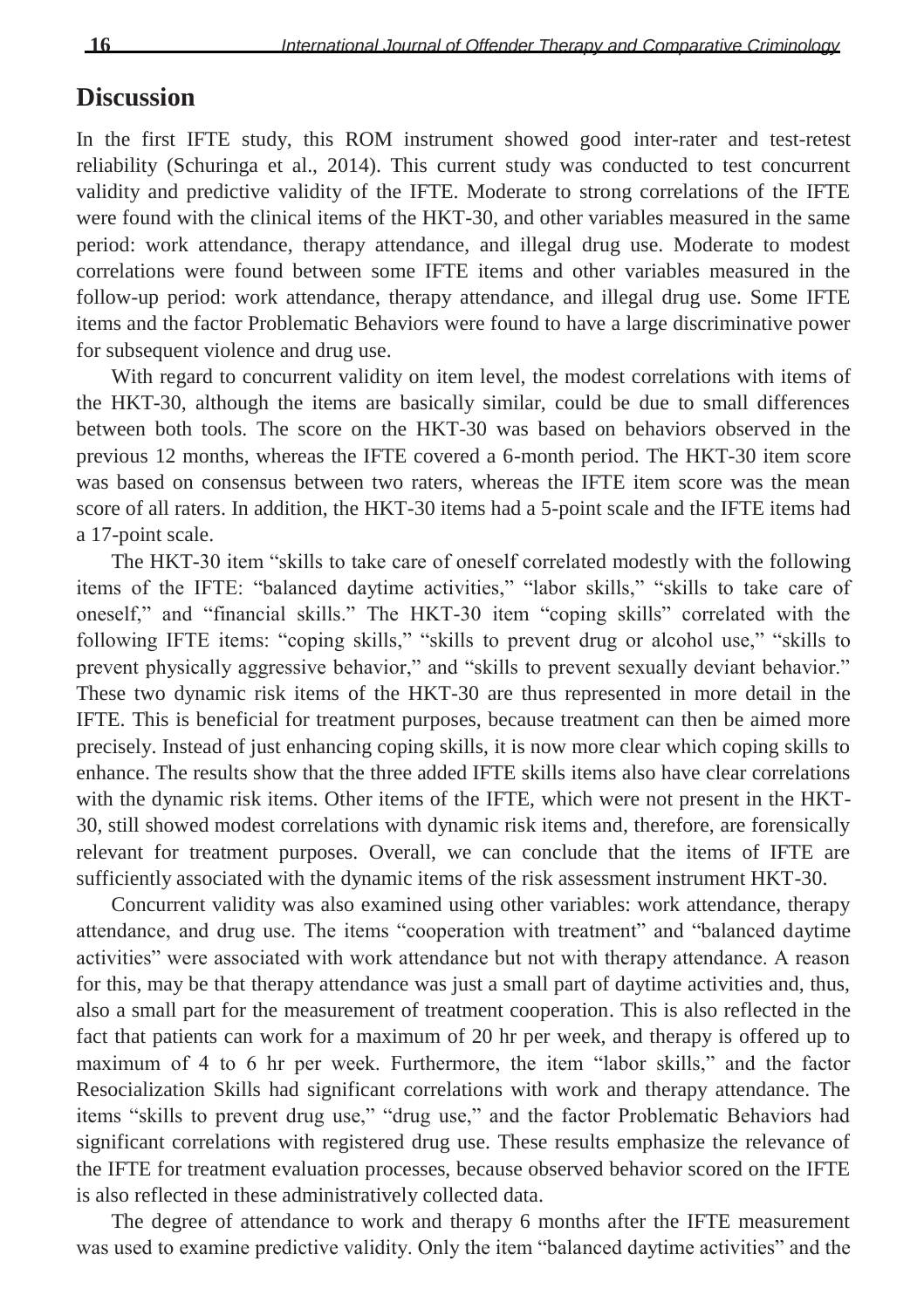# **Discussion**

In the first IFTE study, this ROM instrument showed good inter-rater and test-retest reliability (Schuringa et al., 2014). This current study was conducted to test concurrent validity and predictive validity of the IFTE. Moderate to strong correlations of the IFTE were found with the clinical items of the HKT-30, and other variables measured in the same period: work attendance, therapy attendance, and illegal drug use. Moderate to modest correlations were found between some IFTE items and other variables measured in the follow-up period: work attendance, therapy attendance, and illegal drug use. Some IFTE items and the factor Problematic Behaviors were found to have a large discriminative power for subsequent violence and drug use.

With regard to concurrent validity on item level, the modest correlations with items of the HKT-30, although the items are basically similar, could be due to small differences between both tools. The score on the HKT-30 was based on behaviors observed in the previous 12 months, whereas the IFTE covered a 6-month period. The HKT-30 item score was based on consensus between two raters, whereas the IFTE item score was the mean score of all raters. In addition, the HKT-30 items had a 5-point scale and the IFTE items had a 17-point scale.

The HKT-30 item "skills to take care of oneself correlated modestly with the following items of the IFTE: "balanced daytime activities," "labor skills," "skills to take care of oneself," and "financial skills." The HKT-30 item "coping skills" correlated with the following IFTE items: "coping skills," "skills to prevent drug or alcohol use," "skills to prevent physically aggressive behavior," and "skills to prevent sexually deviant behavior." These two dynamic risk items of the HKT-30 are thus represented in more detail in the IFTE. This is beneficial for treatment purposes, because treatment can then be aimed more precisely. Instead of just enhancing coping skills, it is now more clear which coping skills to enhance. The results show that the three added IFTE skills items also have clear correlations with the dynamic risk items. Other items of the IFTE, which were not present in the HKT-30, still showed modest correlations with dynamic risk items and, therefore, are forensically relevant for treatment purposes. Overall, we can conclude that the items of IFTE are sufficiently associated with the dynamic items of the risk assessment instrument HKT-30.

Concurrent validity was also examined using other variables: work attendance, therapy attendance, and drug use. The items "cooperation with treatment" and "balanced daytime activities" were associated with work attendance but not with therapy attendance. A reason for this, may be that therapy attendance was just a small part of daytime activities and, thus, also a small part for the measurement of treatment cooperation. This is also reflected in the fact that patients can work for a maximum of 20 hr per week, and therapy is offered up to maximum of 4 to 6 hr per week. Furthermore, the item "labor skills," and the factor Resocialization Skills had significant correlations with work and therapy attendance. The items "skills to prevent drug use," "drug use," and the factor Problematic Behaviors had significant correlations with registered drug use. These results emphasize the relevance of the IFTE for treatment evaluation processes, because observed behavior scored on the IFTE is also reflected in these administratively collected data.

The degree of attendance to work and therapy 6 months after the IFTE measurement was used to examine predictive validity. Only the item "balanced daytime activities" and the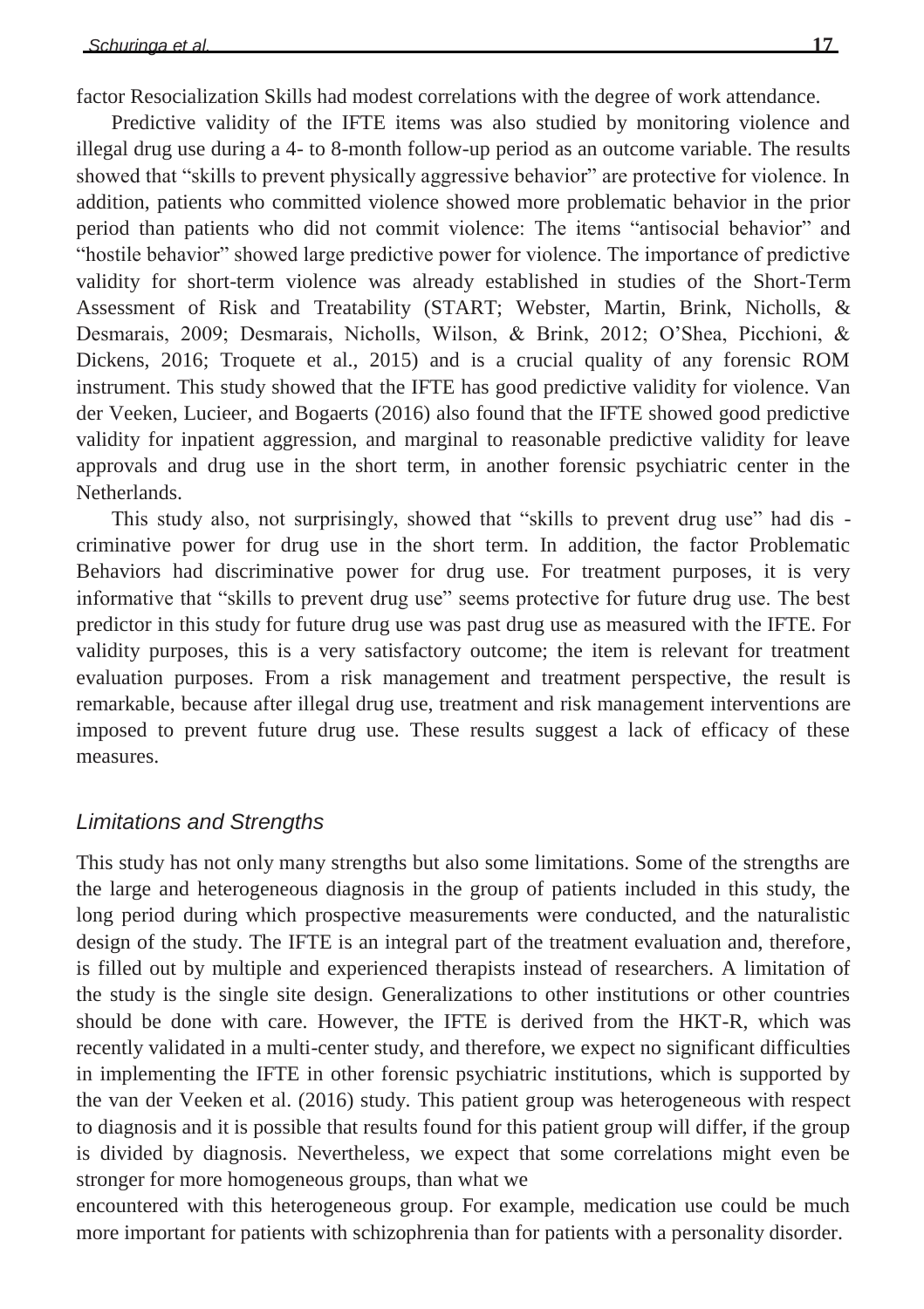factor Resocialization Skills had modest correlations with the degree of work attendance.

Predictive validity of the IFTE items was also studied by monitoring violence and illegal drug use during a 4- to 8-month follow-up period as an outcome variable. The results showed that "skills to prevent physically aggressive behavior" are protective for violence. In addition, patients who committed violence showed more problematic behavior in the prior period than patients who did not commit violence: The items "antisocial behavior" and "hostile behavior" showed large predictive power for violence. The importance of predictive validity for short-term violence was already established in studies of the Short-Term Assessment of Risk and Treatability (START; Webster, Martin, Brink, Nicholls, & Desmarais, 2009; Desmarais, Nicholls, Wilson, & Brink, 2012; O'Shea, Picchioni, & Dickens, 2016; Troquete et al., 2015) and is a crucial quality of any forensic ROM instrument. This study showed that the IFTE has good predictive validity for violence. Van der Veeken, Lucieer, and Bogaerts (2016) also found that the IFTE showed good predictive validity for inpatient aggression, and marginal to reasonable predictive validity for leave approvals and drug use in the short term, in another forensic psychiatric center in the Netherlands.

This study also, not surprisingly, showed that "skills to prevent drug use" had dis criminative power for drug use in the short term. In addition, the factor Problematic Behaviors had discriminative power for drug use. For treatment purposes, it is very informative that "skills to prevent drug use" seems protective for future drug use. The best predictor in this study for future drug use was past drug use as measured with the IFTE. For validity purposes, this is a very satisfactory outcome; the item is relevant for treatment evaluation purposes. From a risk management and treatment perspective, the result is remarkable, because after illegal drug use, treatment and risk management interventions are imposed to prevent future drug use. These results suggest a lack of efficacy of these measures.

## *Limitations and Strengths*

This study has not only many strengths but also some limitations. Some of the strengths are the large and heterogeneous diagnosis in the group of patients included in this study, the long period during which prospective measurements were conducted, and the naturalistic design of the study. The IFTE is an integral part of the treatment evaluation and, therefore, is filled out by multiple and experienced therapists instead of researchers. A limitation of the study is the single site design. Generalizations to other institutions or other countries should be done with care. However, the IFTE is derived from the HKT-R, which was recently validated in a multi-center study, and therefore, we expect no significant difficulties in implementing the IFTE in other forensic psychiatric institutions, which is supported by the van der Veeken et al. (2016) study. This patient group was heterogeneous with respect to diagnosis and it is possible that results found for this patient group will differ, if the group is divided by diagnosis. Nevertheless, we expect that some correlations might even be stronger for more homogeneous groups, than what we

encountered with this heterogeneous group. For example, medication use could be much more important for patients with schizophrenia than for patients with a personality disorder.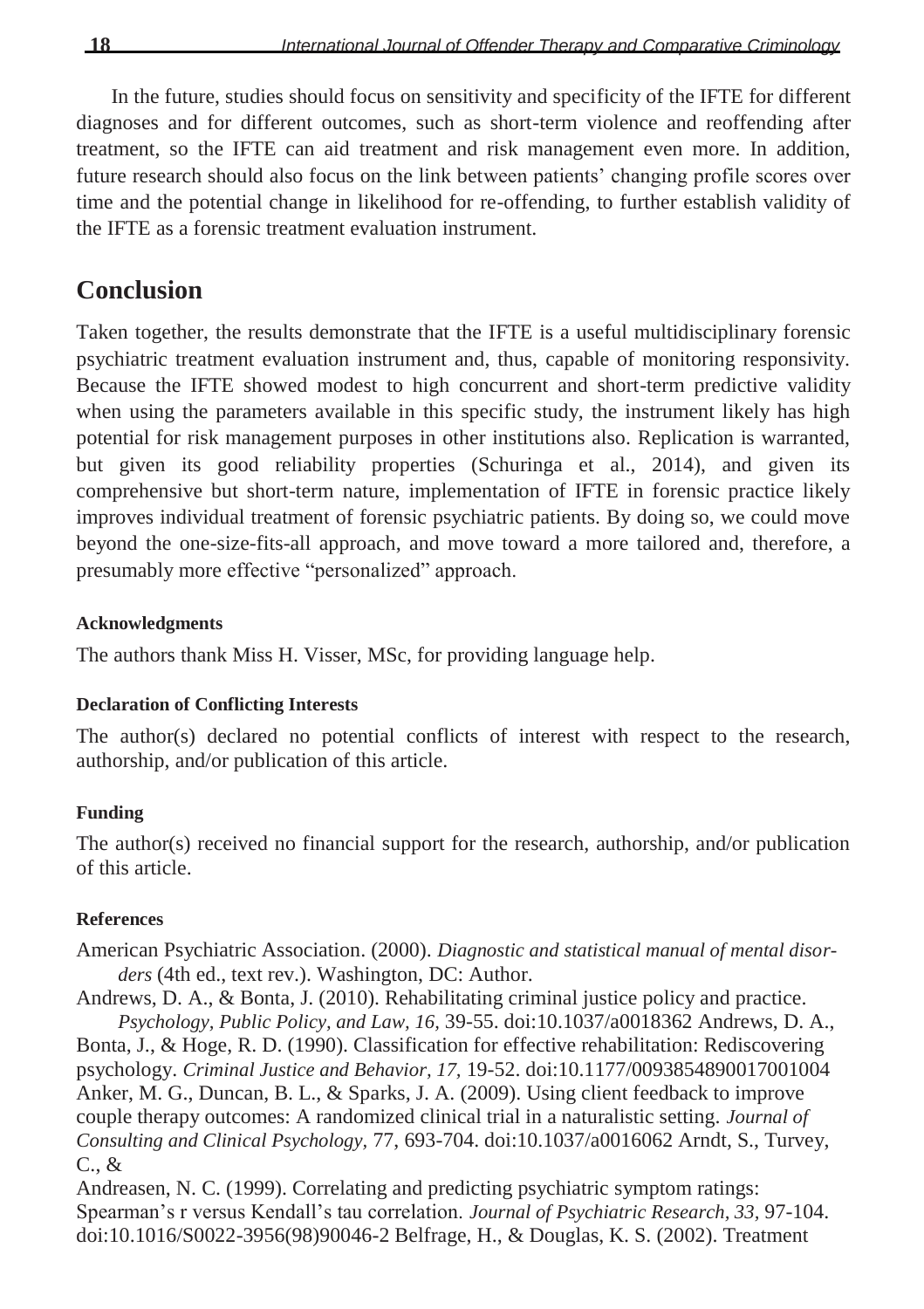In the future, studies should focus on sensitivity and specificity of the IFTE for different diagnoses and for different outcomes, such as short-term violence and reoffending after treatment, so the IFTE can aid treatment and risk management even more. In addition, future research should also focus on the link between patients' changing profile scores over time and the potential change in likelihood for re-offending, to further establish validity of the IFTE as a forensic treatment evaluation instrument.

# **Conclusion**

Taken together, the results demonstrate that the IFTE is a useful multidisciplinary forensic psychiatric treatment evaluation instrument and, thus, capable of monitoring responsivity. Because the IFTE showed modest to high concurrent and short-term predictive validity when using the parameters available in this specific study, the instrument likely has high potential for risk management purposes in other institutions also. Replication is warranted, but given its good reliability properties (Schuringa et al., 2014), and given its comprehensive but short-term nature, implementation of IFTE in forensic practice likely improves individual treatment of forensic psychiatric patients. By doing so, we could move beyond the one-size-fits-all approach, and move toward a more tailored and, therefore, a presumably more effective "personalized" approach.

## **Acknowledgments**

The authors thank Miss H. Visser, MSc, for providing language help.

## **Declaration of Conflicting Interests**

The author(s) declared no potential conflicts of interest with respect to the research, authorship, and/or publication of this article.

## **Funding**

The author(s) received no financial support for the research, authorship, and/or publication of this article.

## **References**

- American Psychiatric Association. (2000). *Diagnostic and statistical manual of mental disorders* (4th ed., text rev.). Washington, DC: Author.
- Andrews, D. A., & Bonta, J. (2010). Rehabilitating criminal justice policy and practice. *Psychology, Public Policy, and Law, 16,* 39-55. doi:10.1037/a0018362 Andrews, D. A.,

Bonta, J., & Hoge, R. D. (1990). Classification for effective rehabilitation: Rediscovering psychology. *Criminal Justice and Behavior, 17,* 19-52. doi:10.1177/0093854890017001004 Anker, M. G., Duncan, B. L., & Sparks, J. A. (2009). Using client feedback to improve couple therapy outcomes: A randomized clinical trial in a naturalistic setting. *Journal of Consulting and Clinical Psychology,* 77, 693-704. doi:10.1037/a0016062 Arndt, S., Turvey, C., &

Andreasen, N. C. (1999). Correlating and predicting psychiatric symptom ratings: Spearman's r versus Kendall's tau correlation. *Journal of Psychiatric Research, 33,* 97-104. doi:10.1016/S0022-3956(98)90046-2 Belfrage, H., & Douglas, K. S. (2002). Treatment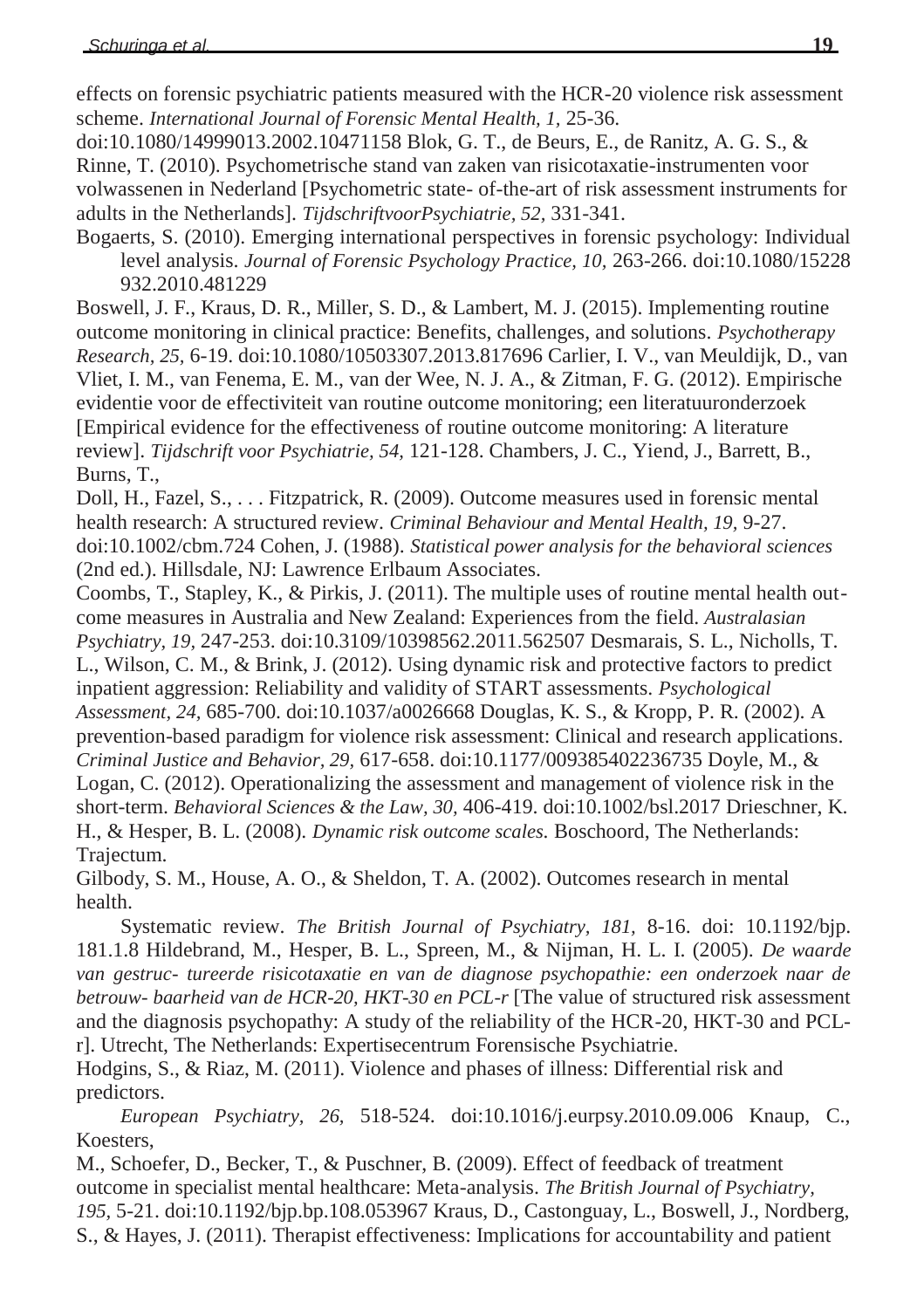effects on forensic psychiatric patients measured with the HCR-20 violence risk assessment scheme. *International Journal of Forensic Mental Health, 1,* 25-36.

doi:10.1080/14999013.2002.10471158 Blok, G. T., de Beurs, E., de Ranitz, A. G. S., & Rinne, T. (2010). Psychometrische stand van zaken van risicotaxatie-instrumenten voor volwassenen in Nederland [Psychometric state- of-the-art of risk assessment instruments for adults in the Netherlands]. *TijdschriftvoorPsychiatrie, 52,* 331-341.

Bogaerts, S. (2010). Emerging international perspectives in forensic psychology: Individual level analysis. *Journal of Forensic Psychology Practice, 10,* 263-266. doi:10.1080/15228 932.2010.481229

Boswell, J. F., Kraus, D. R., Miller, S. D., & Lambert, M. J. (2015). Implementing routine outcome monitoring in clinical practice: Benefits, challenges, and solutions. *Psychotherapy Research, 25,* 6-19. doi:10.1080/10503307.2013.817696 Carlier, I. V., van Meuldijk, D., van Vliet, I. M., van Fenema, E. M., van der Wee, N. J. A., & Zitman, F. G. (2012). Empirische evidentie voor de effectiviteit van routine outcome monitoring; een literatuuronderzoek [Empirical evidence for the effectiveness of routine outcome monitoring: A literature review]. *Tijdschrift voor Psychiatrie, 54,* 121-128. Chambers, J. C., Yiend, J., Barrett, B., Burns, T.,

Doll, H., Fazel, S., . . . Fitzpatrick, R. (2009). Outcome measures used in forensic mental health research: A structured review. *Criminal Behaviour and Mental Health, 19,* 9-27. doi:10.1002/cbm.724 Cohen, J. (1988). *Statistical power analysis for the behavioral sciences*  (2nd ed.). Hillsdale, NJ: Lawrence Erlbaum Associates.

Coombs, T., Stapley, K., & Pirkis, J. (2011). The multiple uses of routine mental health outcome measures in Australia and New Zealand: Experiences from the field. *Australasian Psychiatry, 19,* 247-253. doi:10.3109/10398562.2011.562507 Desmarais, S. L., Nicholls, T. L., Wilson, C. M., & Brink, J. (2012). Using dynamic risk and protective factors to predict inpatient aggression: Reliability and validity of START assessments. *Psychological Assessment, 24,* 685-700. doi:10.1037/a0026668 Douglas, K. S., & Kropp, P. R. (2002). A prevention-based paradigm for violence risk assessment: Clinical and research applications. *Criminal Justice and Behavior, 29,* 617-658. doi:10.1177/009385402236735 Doyle, M., & Logan, C. (2012). Operationalizing the assessment and management of violence risk in the short-term. *Behavioral Sciences & the Law, 30,* 406-419. doi:10.1002/bsl.2017 Drieschner, K. H., & Hesper, B. L. (2008). *Dynamic risk outcome scales.* Boschoord, The Netherlands: Trajectum.

Gilbody, S. M., House, A. O., & Sheldon, T. A. (2002). Outcomes research in mental health.

Systematic review. *The British Journal of Psychiatry, 181,* 8-16. doi: 10.1192/bjp. 181.1.8 Hildebrand, M., Hesper, B. L., Spreen, M., & Nijman, H. L. I. (2005). *De waarde van gestruc- tureerde risicotaxatie en van de diagnose psychopathie: een onderzoek naar de betrouw- baarheid van de HCR-20, HKT-30 en PCL-r* [The value of structured risk assessment and the diagnosis psychopathy: A study of the reliability of the HCR-20, HKT-30 and PCLr]. Utrecht, The Netherlands: Expertisecentrum Forensische Psychiatrie.

Hodgins, S., & Riaz, M. (2011). Violence and phases of illness: Differential risk and predictors.

*European Psychiatry, 26,* 518-524. doi:10.1016/j.eurpsy.2010.09.006 Knaup, C., Koesters,

M., Schoefer, D., Becker, T., & Puschner, B. (2009). Effect of feedback of treatment outcome in specialist mental healthcare: Meta-analysis. *The British Journal of Psychiatry, 195,* 5-21. doi:10.1192/bjp.bp.108.053967 Kraus, D., Castonguay, L., Boswell, J., Nordberg, S., & Hayes, J. (2011). Therapist effectiveness: Implications for accountability and patient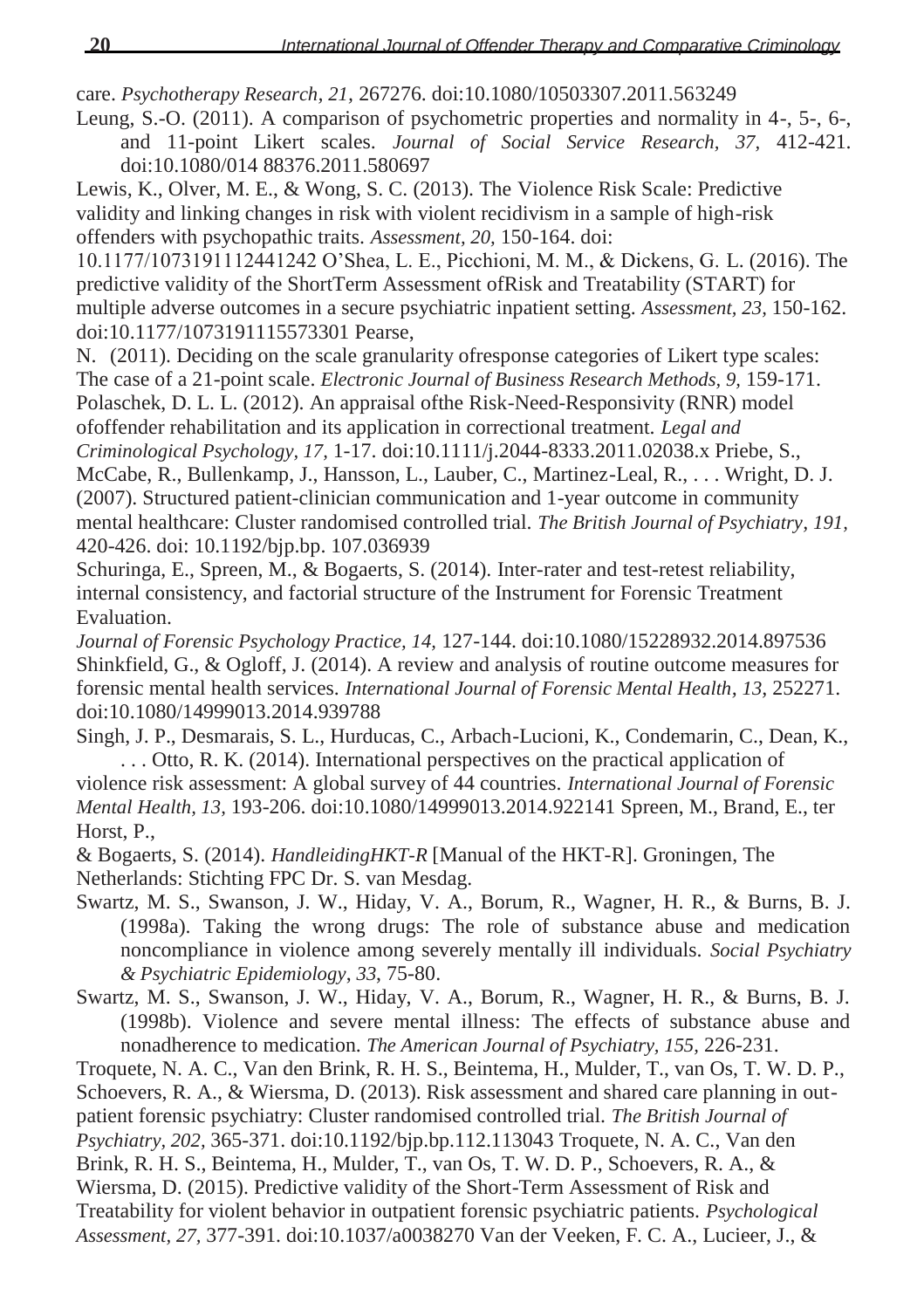care. *Psychotherapy Research, 21,* 267276. doi:10.1080/10503307.2011.563249

Leung, S.-O. (2011). A comparison of psychometric properties and normality in 4-, 5-, 6-, and 11-point Likert scales. *Journal of Social Service Research, 37,* 412-421. doi:10.1080/014 88376.2011.580697

Lewis, K., Olver, M. E., & Wong, S. C. (2013). The Violence Risk Scale: Predictive validity and linking changes in risk with violent recidivism in a sample of high-risk offenders with psychopathic traits. *Assessment, 20,* 150-164. doi:

10.1177/1073191112441242 O'Shea, L. E., Picchioni, M. M., & Dickens, G. L. (2016). The predictive validity of the ShortTerm Assessment ofRisk and Treatability (START) for multiple adverse outcomes in a secure psychiatric inpatient setting. *Assessment, 23,* 150-162. doi:10.1177/1073191115573301 Pearse,

N. (2011). Deciding on the scale granularity ofresponse categories of Likert type scales: The case of a 21-point scale. *Electronic Journal of Business Research Methods, 9,* 159-171. Polaschek, D. L. L. (2012). An appraisal ofthe Risk-Need-Responsivity (RNR) model ofoffender rehabilitation and its application in correctional treatment. *Legal and Criminological Psychology, 17,* 1-17. doi:10.1111/j.2044-8333.2011.02038.x Priebe, S., McCabe, R., Bullenkamp, J., Hansson, L., Lauber, C., Martinez-Leal, R., . . . Wright, D. J. (2007). Structured patient-clinician communication and 1-year outcome in community mental healthcare: Cluster randomised controlled trial. *The British Journal of Psychiatry, 191,* 420-426. doi: 10.1192/bjp.bp. 107.036939

Schuringa, E., Spreen, M., & Bogaerts, S. (2014). Inter-rater and test-retest reliability, internal consistency, and factorial structure of the Instrument for Forensic Treatment Evaluation.

*Journal of Forensic Psychology Practice, 14,* 127-144. doi:10.1080/15228932.2014.897536 Shinkfield, G., & Ogloff, J. (2014). A review and analysis of routine outcome measures for forensic mental health services. *International Journal of Forensic Mental Health, 13,* 252271. doi:10.1080/14999013.2014.939788

Singh, J. P., Desmarais, S. L., Hurducas, C., Arbach-Lucioni, K., Condemarin, C., Dean, K., . . . Otto, R. K. (2014). International perspectives on the practical application of

violence risk assessment: A global survey of 44 countries. *International Journal of Forensic Mental Health, 13,* 193-206. doi:10.1080/14999013.2014.922141 Spreen, M., Brand, E., ter Horst, P.,

& Bogaerts, S. (2014). *HandleidingHKT-R* [Manual of the HKT-R]. Groningen, The Netherlands: Stichting FPC Dr. S. van Mesdag.

- Swartz, M. S., Swanson, J. W., Hiday, V. A., Borum, R., Wagner, H. R., & Burns, B. J. (1998a). Taking the wrong drugs: The role of substance abuse and medication noncompliance in violence among severely mentally ill individuals. *Social Psychiatry & Psychiatric Epidemiology*, *33*, 75-80.
- Swartz, M. S., Swanson, J. W., Hiday, V. A., Borum, R., Wagner, H. R., & Burns, B. J. (1998b). Violence and severe mental illness: The effects of substance abuse and nonadherence to medication. *The American Journal of Psychiatry, 155,* 226-231.

Troquete, N. A. C., Van den Brink, R. H. S., Beintema, H., Mulder, T., van Os, T. W. D. P., Schoevers, R. A., & Wiersma, D. (2013). Risk assessment and shared care planning in outpatient forensic psychiatry: Cluster randomised controlled trial. *The British Journal of Psychiatry, 202,* 365-371. doi:10.1192/bjp.bp.112.113043 Troquete, N. A. C., Van den Brink, R. H. S., Beintema, H., Mulder, T., van Os, T. W. D. P., Schoevers, R. A., & Wiersma, D. (2015). Predictive validity of the Short-Term Assessment of Risk and Treatability for violent behavior in outpatient forensic psychiatric patients. *Psychological Assessment, 27,* 377-391. doi:10.1037/a0038270 Van der Veeken, F. C. A., Lucieer, J., &